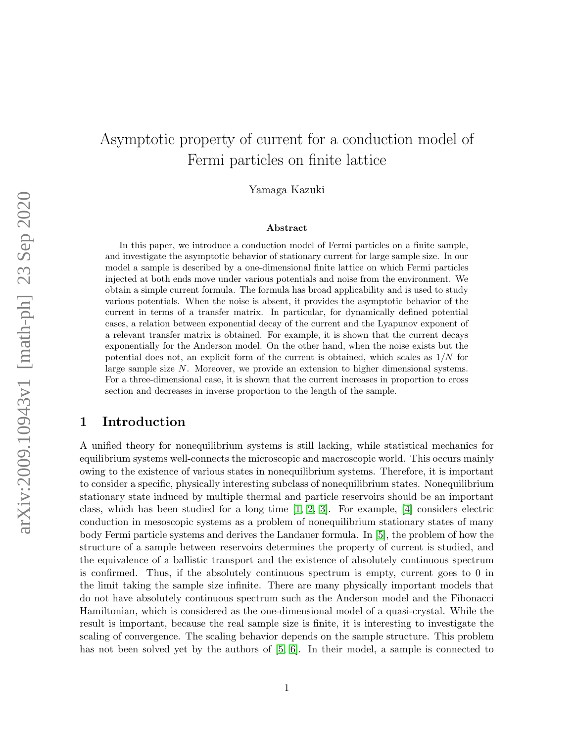# Asymptotic property of current for a conduction model of Fermi particles on finite lattice

Yamaga Kazuki

#### Abstract

In this paper, we introduce a conduction model of Fermi particles on a finite sample, and investigate the asymptotic behavior of stationary current for large sample size. In our model a sample is described by a one-dimensional finite lattice on which Fermi particles injected at both ends move under various potentials and noise from the environment. We obtain a simple current formula. The formula has broad applicability and is used to study various potentials. When the noise is absent, it provides the asymptotic behavior of the current in terms of a transfer matrix. In particular, for dynamically defined potential cases, a relation between exponential decay of the current and the Lyapunov exponent of a relevant transfer matrix is obtained. For example, it is shown that the current decays exponentially for the Anderson model. On the other hand, when the noise exists but the potential does not, an explicit form of the current is obtained, which scales as  $1/N$  for large sample size N. Moreover, we provide an extension to higher dimensional systems. For a three-dimensional case, it is shown that the current increases in proportion to cross section and decreases in inverse proportion to the length of the sample.

# 1 Introduction

A unified theory for nonequilibrium systems is still lacking, while statistical mechanics for equilibrium systems well-connects the microscopic and macroscopic world. This occurs mainly owing to the existence of various states in nonequilibrium systems. Therefore, it is important to consider a specific, physically interesting subclass of nonequilibrium states. Nonequilibrium stationary state induced by multiple thermal and particle reservoirs should be an important class, which has been studied for a long time [\[1,](#page-25-0) [2,](#page-25-1) [3\]](#page-25-2). For example, [\[4\]](#page-25-3) considers electric conduction in mesoscopic systems as a problem of nonequilibrium stationary states of many body Fermi particle systems and derives the Landauer formula. In [\[5\]](#page-25-4), the problem of how the structure of a sample between reservoirs determines the property of current is studied, and the equivalence of a ballistic transport and the existence of absolutely continuous spectrum is confirmed. Thus, if the absolutely continuous spectrum is empty, current goes to 0 in the limit taking the sample size infinite. There are many physically important models that do not have absolutely continuous spectrum such as the Anderson model and the Fibonacci Hamiltonian, which is considered as the one-dimensional model of a quasi-crystal. While the result is important, because the real sample size is finite, it is interesting to investigate the scaling of convergence. The scaling behavior depends on the sample structure. This problem has not been solved yet by the authors of [\[5,](#page-25-4) [6\]](#page-25-5). In their model, a sample is connected to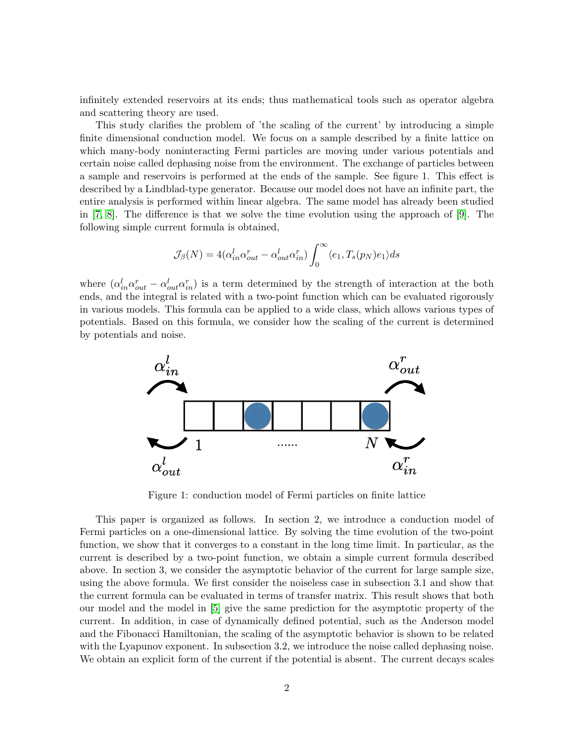infinitely extended reservoirs at its ends; thus mathematical tools such as operator algebra and scattering theory are used.

This study clarifies the problem of 'the scaling of the current' by introducing a simple finite dimensional conduction model. We focus on a sample described by a finite lattice on which many-body noninteracting Fermi particles are moving under various potentials and certain noise called dephasing noise from the environment. The exchange of particles between a sample and reservoirs is performed at the ends of the sample. See figure 1. This effect is described by a Lindblad-type generator. Because our model does not have an infinite part, the entire analysis is performed within linear algebra. The same model has already been studied in [\[7,](#page-26-0) [8\]](#page-26-1). The difference is that we solve the time evolution using the approach of [\[9\]](#page-26-2). The following simple current formula is obtained,

$$
\mathcal{J}_{\beta}(N)=4(\alpha_{in}^l\alpha_{out}^r-\alpha_{out}^l\alpha_{in}^r)\int_0^{\infty}\langle e_1,T_s(p_N)e_1\rangle ds
$$

where  $(\alpha_{in}^l \alpha_{out}^r - \alpha_{out}^l \alpha_{in}^r)$  is a term determined by the strength of interaction at the both ends, and the integral is related with a two-point function which can be evaluated rigorously in various models. This formula can be applied to a wide class, which allows various types of potentials. Based on this formula, we consider how the scaling of the current is determined by potentials and noise.



Figure 1: conduction model of Fermi particles on finite lattice

This paper is organized as follows. In section 2, we introduce a conduction model of Fermi particles on a one-dimensional lattice. By solving the time evolution of the two-point function, we show that it converges to a constant in the long time limit. In particular, as the current is described by a two-point function, we obtain a simple current formula described above. In section 3, we consider the asymptotic behavior of the current for large sample size, using the above formula. We first consider the noiseless case in subsection 3.1 and show that the current formula can be evaluated in terms of transfer matrix. This result shows that both our model and the model in [\[5\]](#page-25-4) give the same prediction for the asymptotic property of the current. In addition, in case of dynamically defined potential, such as the Anderson model and the Fibonacci Hamiltonian, the scaling of the asymptotic behavior is shown to be related with the Lyapunov exponent. In subsection 3.2, we introduce the noise called dephasing noise. We obtain an explicit form of the current if the potential is absent. The current decays scales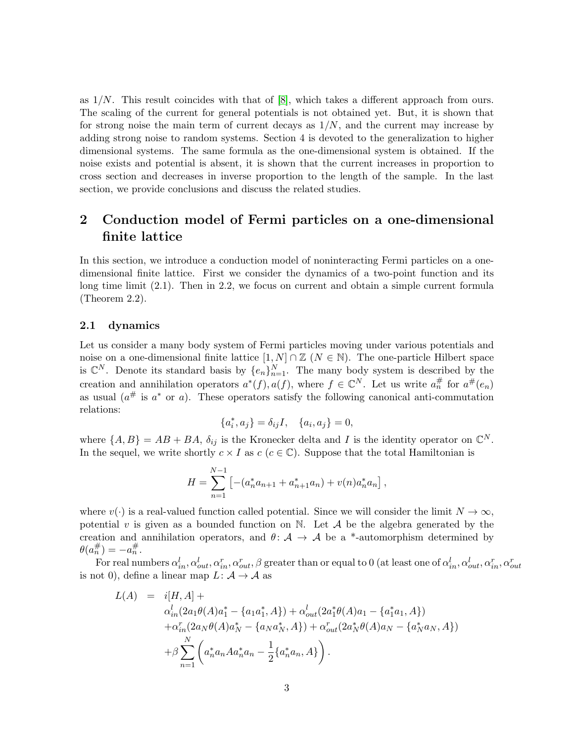as  $1/N$ . This result coincides with that of [\[8\]](#page-26-1), which takes a different approach from ours. The scaling of the current for general potentials is not obtained yet. But, it is shown that for strong noise the main term of current decays as  $1/N$ , and the current may increase by adding strong noise to random systems. Section 4 is devoted to the generalization to higher dimensional systems. The same formula as the one-dimensional system is obtained. If the noise exists and potential is absent, it is shown that the current increases in proportion to cross section and decreases in inverse proportion to the length of the sample. In the last section, we provide conclusions and discuss the related studies.

# 2 Conduction model of Fermi particles on a one-dimensional finite lattice

In this section, we introduce a conduction model of noninteracting Fermi particles on a onedimensional finite lattice. First we consider the dynamics of a two-point function and its long time limit (2.1). Then in 2.2, we focus on current and obtain a simple current formula (Theorem 2.2).

### 2.1 dynamics

Let us consider a many body system of Fermi particles moving under various potentials and noise on a one-dimensional finite lattice  $[1, N] \cap \mathbb{Z}$  ( $N \in \mathbb{N}$ ). The one-particle Hilbert space is  $\mathbb{C}^N$ . Denote its standard basis by  $\{e_n\}_{n=1}^N$ . The many body system is described by the creation and annihilation operators  $a^*(f), a(f)$ , where  $f \in \mathbb{C}^N$ . Let us write  $a_n^{\#}$  for  $a^{\#}(e_n)$ as usual  $(a^{\#}$  is  $a^*$  or a). These operators satisfy the following canonical anti-commutation relations:

$$
\{a_i^*, a_j\} = \delta_{ij}I, \quad \{a_i, a_j\} = 0,
$$

where  $\{A, B\} = AB + BA$ ,  $\delta_{ij}$  is the Kronecker delta and I is the identity operator on  $\mathbb{C}^N$ . In the sequel, we write shortly  $c \times I$  as  $c$  ( $c \in \mathbb{C}$ ). Suppose that the total Hamiltonian is

$$
H = \sum_{n=1}^{N-1} \left[ -(a_n^* a_{n+1} + a_{n+1}^* a_n) + v(n) a_n^* a_n \right],
$$

where  $v(\cdot)$  is a real-valued function called potential. Since we will consider the limit  $N \to \infty$ , potential  $v$  is given as a bounded function on  $\mathbb N$ . Let  $\mathcal A$  be the algebra generated by the creation and annihilation operators, and  $\theta: A \rightarrow A$  be a \*-automorphism determined by  $\theta(a_n^{\#}) = -a_n^{\#}.$ 

For real numbers  $\alpha_{in}^l,\alpha_{out}^r,\alpha_{out}^r,\beta$  greater than or equal to 0 (at least one of  $\alpha_{in}^l,\alpha_{out}^l,\alpha_{in}^r,\alpha_{out}^r$ is not 0), define a linear map  $L: \mathcal{A} \to \mathcal{A}$  as

$$
L(A) = i[H, A] +
$$
  
\n
$$
\alpha_{in}^{l}(2a_{1}\theta(A)a_{1}^{*} - \{a_{1}a_{1}^{*}, A\}) + \alpha_{out}^{l}(2a_{1}^{*}\theta(A)a_{1} - \{a_{1}^{*}a_{1}, A\})
$$
  
\n
$$
+ \alpha_{in}^{r}(2a_{N}\theta(A)a_{N}^{*} - \{a_{N}a_{N}^{*}, A\}) + \alpha_{out}^{r}(2a_{N}^{*}\theta(A)a_{N} - \{a_{N}^{*}a_{N}, A\})
$$
  
\n
$$
+ \beta \sum_{n=1}^{N} \left( a_{n}^{*}a_{n}Aa_{n}^{*}a_{n} - \frac{1}{2} \{a_{n}^{*}a_{n}, A\} \right).
$$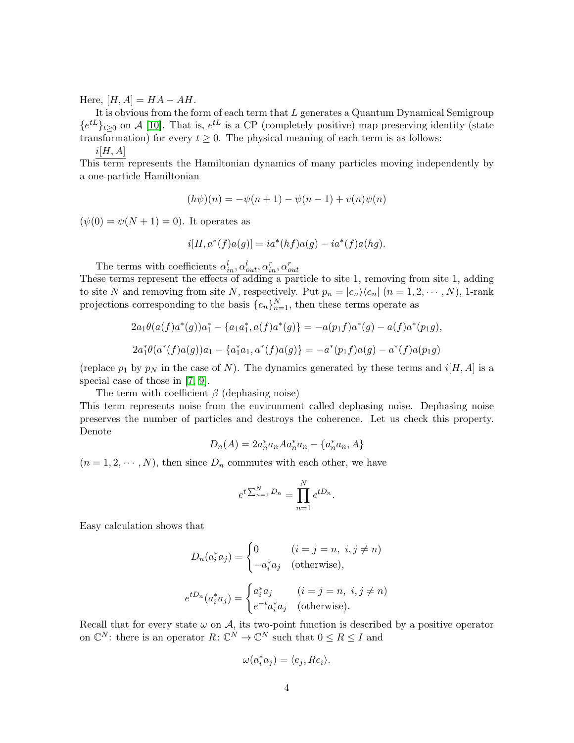Here,  $[H, A] = HA - AH$ .

It is obvious from the form of each term that  $L$  generates a Quantum Dynamical Semigroup  ${e^{tL}}_{t\geq0}$  on A [\[10\]](#page-26-3). That is,  $e^{tL}$  is a CP (completely positive) map preserving identity (state transformation) for every  $t \geq 0$ . The physical meaning of each term is as follows:

$$
i[H,A]
$$

This term represents the Hamiltonian dynamics of many particles moving independently by a one-particle Hamiltonian

$$
(h\psi)(n) = -\psi(n+1) - \psi(n-1) + v(n)\psi(n)
$$

 $(\psi(0) = \psi(N+1) = 0)$ . It operates as

$$
i[H, a^*(f)a(g)] = ia^*(hf)a(g) - ia^*(f)a(hg).
$$

The terms with coefficients  $\alpha_{in}^l, \alpha_{out}^l, \alpha_{in}^r, \alpha_{out}^r$ 

These terms represent the effects of adding a particle to site 1, removing from site 1, adding to site N and removing from site N, respectively. Put  $p_n = |e_n\rangle\langle e_n|$   $(n = 1, 2, \dots, N)$ , 1-rank projections corresponding to the basis  $\{e_n\}_{n=1}^N$ , then these terms operate as

$$
2a_1\theta(a(f)a^*(g))a_1^* - \{a_1a_1^*, a(f)a^*(g)\} = -a(p_1f)a^*(g) - a(f)a^*(p_1g),
$$
  

$$
2a_1^*\theta(a^*(f)a(g))a_1 - \{a_1^*a_1, a^*(f)a(g)\} = -a^*(p_1f)a(g) - a^*(f)a(p_1g)
$$

(replace  $p_1$  by  $p_N$  in the case of N). The dynamics generated by these terms and  $i[H, A]$  is a special case of those in [\[7,](#page-26-0) [9\]](#page-26-2).

The term with coefficient  $\beta$  (dephasing noise)

This term represents noise from the environment called dephasing noise. Dephasing noise preserves the number of particles and destroys the coherence. Let us check this property. Denote

$$
D_n(A) = 2a_n^* a_n A a_n^* a_n - \{a_n^* a_n, A\}
$$

 $(n = 1, 2, \dots, N)$ , then since  $D_n$  commutes with each other, we have

$$
e^{t\sum_{n=1}^N D_n} = \prod_{n=1}^N e^{tD_n}.
$$

Easy calculation shows that

$$
D_n(a_i^* a_j) = \begin{cases} 0 & (i = j = n, i, j \neq n) \\ -a_i^* a_j & \text{(otherwise)}, \end{cases}
$$
\n
$$
e^{tD_n}(a_i^* a_j) = \begin{cases} a_i^* a_j & (i = j = n, i, j \neq n) \\ e^{-t} a_i^* a_j & \text{(otherwise)}. \end{cases}
$$

Recall that for every state  $\omega$  on  $\mathcal{A}$ , its two-point function is described by a positive operator on  $\mathbb{C}^N$ : there is an operator  $R: \mathbb{C}^N \to \mathbb{C}^N$  such that  $0 \leq R \leq I$  and

$$
\omega(a_i^* a_j) = \langle e_j, Re_i \rangle.
$$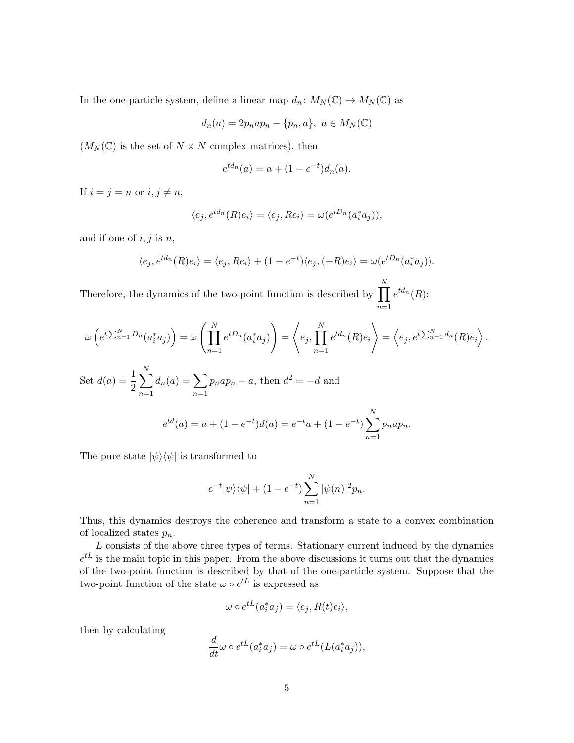In the one-particle system, define a linear map  $d_n \colon M_N(\mathbb{C}) \to M_N(\mathbb{C})$  as

$$
d_n(a)=2p_nap_n-\{p_n,a\},\ a\in M_N(\mathbb{C})
$$

 $(M_N(\mathbb{C}))$  is the set of  $N \times N$  complex matrices), then

$$
e^{td_n}(a) = a + (1 - e^{-t})d_n(a).
$$

If  $i = j = n$  or  $i, j \neq n$ ,

$$
\langle e_j, e^{td_n}(R)e_i \rangle = \langle e_j, Re_i \rangle = \omega(e^{tD_n}(a_i^*a_j)),
$$

and if one of  $i, j$  is  $n$ ,

$$
\langle e_j, e^{td_n}(R)e_i \rangle = \langle e_j, Re_i \rangle + (1 - e^{-t}) \langle e_j, (-R)e_i \rangle = \omega(e^{tD_n}(a_i^*a_j)).
$$

Therefore, the dynamics of the two-point function is described by  $\prod$ N  $n=1$  $e^{td_n}(R)$ :

$$
\omega\left(e^{t\sum_{n=1}^N D_n}(a_i^*a_j)\right) = \omega\left(\prod_{n=1}^N e^{tD_n}(a_i^*a_j)\right) = \left\langle e_j, \prod_{n=1}^N e^{td_n}(R)e_i\right\rangle = \left\langle e_j, e^{t\sum_{n=1}^N d_n}(R)e_i\right\rangle.
$$

Set 
$$
d(a) = \frac{1}{2} \sum_{n=1}^{N} d_n(a) = \sum_{n=1}^{N} p_n a p_n - a
$$
, then  $d^2 = -d$  and  

$$
e^{td}(a) = a + (1 - e^{-t})d(a) = e^{-t}a + (1 - e^{-t}) \sum_{n=1}^{N} p_n a p_n.
$$

The pure state  $|\psi\rangle\langle\psi|$  is transformed to

$$
e^{-t}|\psi\rangle\langle\psi| + (1 - e^{-t})\sum_{n=1}^{N} |\psi(n)|^2 p_n.
$$

Thus, this dynamics destroys the coherence and transform a state to a convex combination of localized states  $p_n$ .

L consists of the above three types of terms. Stationary current induced by the dynamics  $e^{tL}$  is the main topic in this paper. From the above discussions it turns out that the dynamics of the two-point function is described by that of the one-particle system. Suppose that the two-point function of the state  $\omega \circ e^{tL}$  is expressed as

$$
\omega \circ e^{tL}(a_i^*a_j) = \langle e_j, R(t)e_i \rangle,
$$

then by calculating

$$
\frac{d}{dt}\omega \circ e^{tL}(a_i^*a_j) = \omega \circ e^{tL}(L(a_i^*a_j)),
$$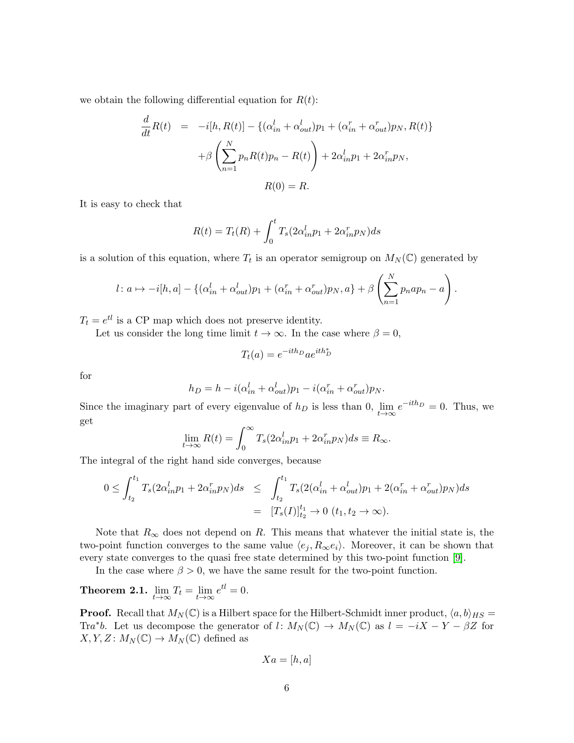we obtain the following differential equation for  $R(t)$ :

$$
\frac{d}{dt}R(t) = -i[h, R(t)] - \left\{ (\alpha_{in}^l + \alpha_{out}^l)p_1 + (\alpha_{in}^r + \alpha_{out}^r)p_N, R(t) \right\}
$$

$$
+ \beta \left( \sum_{n=1}^N p_n R(t)p_n - R(t) \right) + 2\alpha_{in}^l p_1 + 2\alpha_{in}^r p_N,
$$

$$
R(0) = R.
$$

It is easy to check that

$$
R(t) = T_t(R) + \int_0^t T_s(2\alpha_{in}^l p_1 + 2\alpha_{in}^r p_N)ds
$$

is a solution of this equation, where  $T_t$  is an operator semigroup on  $M_N(\mathbb{C})$  generated by

$$
l: a \mapsto -i[h, a] - \{(\alpha_{in}^l + \alpha_{out}^l)p_1 + (\alpha_{in}^r + \alpha_{out}^r)p_N, a\} + \beta \left(\sum_{n=1}^N p_nap_n - a\right).
$$

 $T_t = e^{t}$  is a CP map which does not preserve identity.

Let us consider the long time limit  $t \to \infty$ . In the case where  $\beta = 0$ ,

$$
T_t(a) = e^{-ith_D} a e^{ith_D^*}
$$

for

$$
h_D = h - i(\alpha_{in}^l + \alpha_{out}^l)p_1 - i(\alpha_{in}^r + \alpha_{out}^r)p_N.
$$

Since the imaginary part of every eigenvalue of  $h_D$  is less than 0,  $\lim_{t\to\infty}e^{-ith_D}=0$ . Thus, we get

$$
\lim_{t \to \infty} R(t) = \int_0^\infty T_s(2\alpha_{in}^l p_1 + 2\alpha_{in}^r p_N) ds \equiv R_\infty.
$$

The integral of the right hand side converges, because

$$
0 \leq \int_{t_2}^{t_1} T_s (2\alpha_{in}^l p_1 + 2\alpha_{in}^r p_N) ds \leq \int_{t_2}^{t_1} T_s (2(\alpha_{in}^l + \alpha_{out}^l) p_1 + 2(\alpha_{in}^r + \alpha_{out}^r) p_N) ds
$$
  
=  $[T_s(I)]_{t_2}^{t_1} \to 0 \ (t_1, t_2 \to \infty).$ 

Note that  $R_{\infty}$  does not depend on R. This means that whatever the initial state is, the two-point function converges to the same value  $\langle e_j, R_\infty e_i \rangle$ . Moreover, it can be shown that every state converges to the quasi free state determined by this two-point function [\[9\]](#page-26-2).

In the case where  $\beta > 0$ , we have the same result for the two-point function.

Theorem 2.1.  $\lim_{t\to\infty}T_t=\lim_{t\to\infty}e^{tl}=0.$ 

**Proof.** Recall that  $M_N(\mathbb{C})$  is a Hilbert space for the Hilbert-Schmidt inner product,  $\langle a, b \rangle_{HS} =$ Tra<sup>\*</sup>b. Let us decompose the generator of l:  $M_N(\mathbb{C}) \to M_N(\mathbb{C})$  as  $l = -iX - Y - \beta Z$  for  $X, Y, Z \colon M_N(\mathbb{C}) \to M_N(\mathbb{C})$  defined as

$$
Xa=[h,a]
$$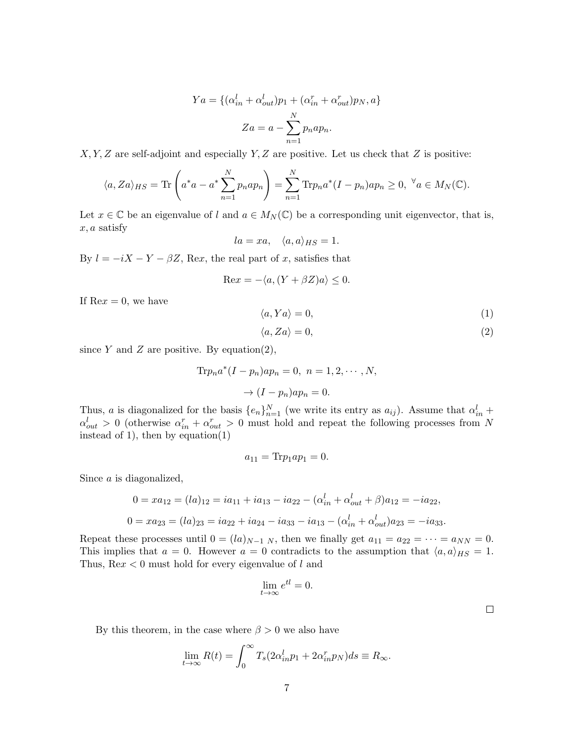$$
Ya = \{ (\alpha_{in}^l + \alpha_{out}^l)p_1 + (\alpha_{in}^r + \alpha_{out}^r)p_N, a \}
$$

$$
Za = a - \sum_{n=1}^N p_n a p_n.
$$

 $X, Y, Z$  are self-adjoint and especially  $Y, Z$  are positive. Let us check that  $Z$  is positive:

$$
\langle a, Za \rangle_{HS} = \text{Tr}\left(a^*a - a^* \sum_{n=1}^N p_n a p_n\right) = \sum_{n=1}^N \text{Tr} p_n a^* (I - p_n) a p_n \ge 0, \ \forall a \in M_N(\mathbb{C}).
$$

Let  $x \in \mathbb{C}$  be an eigenvalue of l and  $a \in M_N(\mathbb{C})$  be a corresponding unit eigenvector, that is,  $x, a$  satisfy

$$
la = xa, \quad \langle a, a \rangle_{HS} = 1.
$$

By  $l = -iX - Y - \beta Z$ , Rex, the real part of x, satisfies that

$$
\text{Re}x = -\langle a, (Y + \beta Z)a \rangle \le 0.
$$

If  $\text{Re}x = 0$ , we have

$$
\langle a, Ya \rangle = 0,\tag{1}
$$

$$
\langle a, Za \rangle = 0,\tag{2}
$$

since  $Y$  and  $Z$  are positive. By equation(2),

$$
\text{Tr}p_n a^*(I - p_n) a p_n = 0, \ n = 1, 2, \cdots, N,
$$

$$
\rightarrow (I - p_n) a p_n = 0.
$$

Thus, a is diagonalized for the basis  $\{e_n\}_{n=1}^N$  (we write its entry as  $a_{ij}$ ). Assume that  $\alpha_{in}^l$  +  $\alpha_{out}^l > 0$  (otherwise  $\alpha_{in}^r + \alpha_{out}^r > 0$  must hold and repeat the following processes from N instead of 1), then by equation $(1)$ 

$$
a_{11}=\text{Tr}p_1ap_1=0.
$$

Since a is diagonalized,

$$
0 = xa_{12} = (la)_{12} = ia_{11} + ia_{13} - ia_{22} - (\alpha_{in}^{l} + \alpha_{out}^{l} + \beta)a_{12} = -ia_{22},
$$
  

$$
0 = xa_{23} = (la)_{23} = ia_{22} + ia_{24} - ia_{33} - ia_{13} - (\alpha_{in}^{l} + \alpha_{out}^{l})a_{23} = -ia_{33}.
$$

Repeat these processes until  $0 = (la)_{N-1}$  N, then we finally get  $a_{11} = a_{22} = \cdots = a_{NN} = 0$ . This implies that  $a = 0$ . However  $a = 0$  contradicts to the assumption that  $\langle a, a \rangle_{HS} = 1$ . Thus,  $\text{Re}x < 0$  must hold for every eigenvalue of l and

$$
\lim_{t \to \infty} e^{tl} = 0.
$$

By this theorem, in the case where  $\beta > 0$  we also have

$$
\lim_{t \to \infty} R(t) = \int_0^\infty T_s(2\alpha_{in}^l p_1 + 2\alpha_{in}^r p_N) ds \equiv R_\infty.
$$

 $\Box$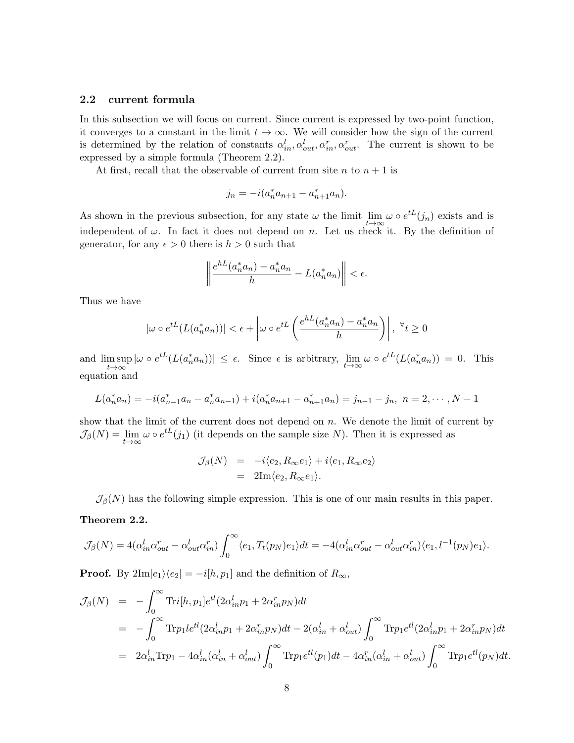## 2.2 current formula

In this subsection we will focus on current. Since current is expressed by two-point function, it converges to a constant in the limit  $t \to \infty$ . We will consider how the sign of the current is determined by the relation of constants  $\alpha_{in}^l, \alpha_{out}^l, \alpha_{in}^r, \alpha_{out}^r$ . The current is shown to be expressed by a simple formula (Theorem 2.2).

At first, recall that the observable of current from site  $n$  to  $n + 1$  is

$$
j_n = -i(a_n^* a_{n+1} - a_{n+1}^* a_n).
$$

As shown in the previous subsection, for any state  $\omega$  the limit  $\lim_{t\to\infty}\omega\circ e^{tL}(j_n)$  exists and is independent of  $\omega$ . In fact it does not depend on n. Let us check it. By the definition of generator, for any  $\epsilon > 0$  there is  $h > 0$  such that

$$
\left\|\frac{e^{hL}(a_n^*a_n)-a_n^*a_n}{h}-L(a_n^*a_n)\right\|<\epsilon.
$$

Thus we have

$$
|\omega \circ e^{tL}(L(a_n^*a_n))| < \epsilon + \left| \omega \circ e^{tL}\left(\frac{e^{hL}(a_n^*a_n) - a_n^*a_n}{h}\right) \right|, \ \forall t \ge 0
$$

and  $\limsup_{t\to\infty} |\omega \circ e^{tL}(L(a_n^*a_n))| \leq \epsilon$ . Since  $\epsilon$  is arbitrary,  $\lim_{t\to\infty} \omega \circ e^{tL}(L(a_n^*a_n)) = 0$ . This  $t\rightarrow\infty$ equation and

$$
L(a_n^*a_n) = -i(a_{n-1}^*a_n - a_n^*a_{n-1}) + i(a_n^*a_{n+1} - a_{n+1}^*a_n) = j_{n-1} - j_n, \ n = 2, \cdots, N-1
$$

show that the limit of the current does not depend on n. We denote the limit of current by  $\mathcal{J}_{\beta}(N) = \lim_{t \to \infty} \omega \circ e^{tL}(j_1)$  (it depends on the sample size N). Then it is expressed as

$$
\mathcal{J}_{\beta}(N) = -i \langle e_2, R_{\infty} e_1 \rangle + i \langle e_1, R_{\infty} e_2 \rangle
$$
  
= 2Im $\langle e_2, R_{\infty} e_1 \rangle$ .

 $\mathcal{J}_{\beta}(N)$  has the following simple expression. This is one of our main results in this paper.

### Theorem 2.2.

$$
\mathcal{J}_{\beta}(N) = 4(\alpha_{in}^l \alpha_{out}^r - \alpha_{out}^l \alpha_{in}^r) \int_0^{\infty} \langle e_1, T_t(p_N)e_1 \rangle dt = -4(\alpha_{in}^l \alpha_{out}^r - \alpha_{out}^l \alpha_{in}^r) \langle e_1, l^{-1}(p_N)e_1 \rangle.
$$

**Proof.** By  $2\text{Im}|e_1\rangle\langle e_2| = -i[h, p_1]$  and the definition of  $R_{\infty}$ ,

$$
\mathcal{J}_{\beta}(N) = -\int_0^{\infty} \text{Tri}[h, p_1] e^{tl} (2\alpha_{in}^l p_1 + 2\alpha_{in}^r p_N) dt
$$
  
\n
$$
= -\int_0^{\infty} \text{Tr} p_1 l e^{tl} (2\alpha_{in}^l p_1 + 2\alpha_{in}^r p_N) dt - 2(\alpha_{in}^l + \alpha_{out}^l) \int_0^{\infty} \text{Tr} p_1 e^{tl} (2\alpha_{in}^l p_1 + 2\alpha_{in}^r p_N) dt
$$
  
\n
$$
= 2\alpha_{in}^l \text{Tr} p_1 - 4\alpha_{in}^l (\alpha_{in}^l + \alpha_{out}^l) \int_0^{\infty} \text{Tr} p_1 e^{tl} (p_1) dt - 4\alpha_{in}^r (\alpha_{in}^l + \alpha_{out}^l) \int_0^{\infty} \text{Tr} p_1 e^{tl} (p_N) dt.
$$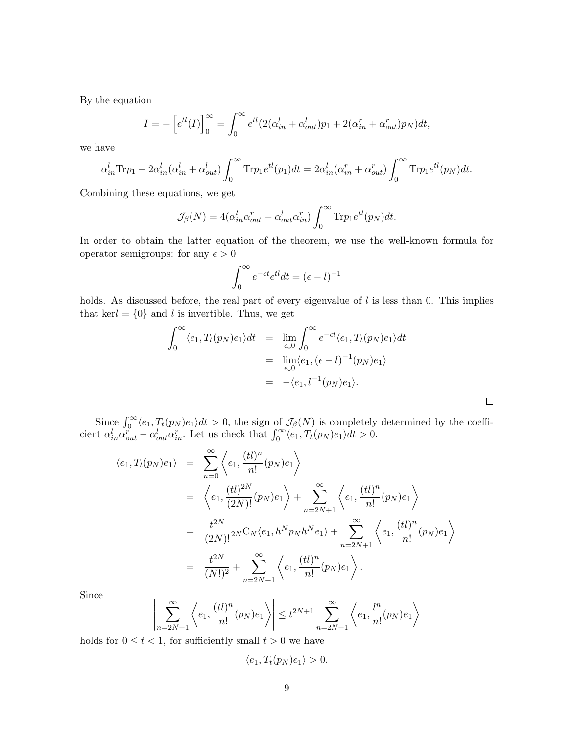By the equation

$$
I = -\left[e^{tl}(I)\right]_0^{\infty} = \int_0^{\infty} e^{tl}(2(\alpha_{in}^l + \alpha_{out}^l)p_1 + 2(\alpha_{in}^r + \alpha_{out}^r)p_N)dt,
$$

we have

$$
\alpha_{in}^l \text{Tr} p_1 - 2\alpha_{in}^l(\alpha_{in}^l + \alpha_{out}^l) \int_0^\infty \text{Tr} p_1 e^{tl}(p_1) dt = 2\alpha_{in}^l(\alpha_{in}^r + \alpha_{out}^r) \int_0^\infty \text{Tr} p_1 e^{tl}(p_N) dt.
$$

Combining these equations, we get

$$
\mathcal{J}_{\beta}(N) = 4(\alpha_{in}^{l} \alpha_{out}^{r} - \alpha_{out}^{l} \alpha_{in}^{r}) \int_{0}^{\infty} \text{Tr} p_{1} e^{tl}(p_{N}) dt.
$$

In order to obtain the latter equation of the theorem, we use the well-known formula for operator semigroups: for any  $\epsilon > 0$ 

$$
\int_0^\infty e^{-\epsilon t} e^{t} dt = (\epsilon - l)^{-1}
$$

holds. As discussed before, the real part of every eigenvalue of  $l$  is less than 0. This implies that kerl =  $\{0\}$  and l is invertible. Thus, we get

$$
\int_0^{\infty} \langle e_1, T_t(p_N)e_1 \rangle dt = \lim_{\epsilon \downarrow 0} \int_0^{\infty} e^{-\epsilon t} \langle e_1, T_t(p_N)e_1 \rangle dt
$$
  
\n
$$
= \lim_{\epsilon \downarrow 0} \langle e_1, (\epsilon - l)^{-1}(p_N)e_1 \rangle
$$
  
\n
$$
= - \langle e_1, l^{-1}(p_N)e_1 \rangle.
$$

Since  $\int_0^\infty \langle e_1, T_t(p_N) e_1 \rangle dt > 0$ , the sign of  $\mathcal{J}_\beta(N)$  is completely determined by the coefficient  $\alpha_{in}^l \alpha_{out}^r - \alpha_{out}^l \alpha_{in}^r$ . Let us check that  $\int_0^\infty \langle e_1, T_t(p_N) e_1 \rangle dt > 0$ .

$$
\langle e_1, T_t(p_N)e_1 \rangle = \sum_{n=0}^{\infty} \left\langle e_1, \frac{(tl)^n}{n!} (p_N)e_1 \right\rangle
$$
  
\n
$$
= \left\langle e_1, \frac{(tl)^{2N}}{(2N)!} (p_N)e_1 \right\rangle + \sum_{n=2N+1}^{\infty} \left\langle e_1, \frac{(tl)^n}{n!} (p_N)e_1 \right\rangle
$$
  
\n
$$
= \frac{t^{2N}}{(2N)!} {}_{2N}C_N \langle e_1, h^N p_N h^N e_1 \rangle + \sum_{n=2N+1}^{\infty} \left\langle e_1, \frac{(tl)^n}{n!} (p_N)e_1 \right\rangle
$$
  
\n
$$
= \frac{t^{2N}}{(N!)^2} + \sum_{n=2N+1}^{\infty} \left\langle e_1, \frac{(tl)^n}{n!} (p_N)e_1 \right\rangle.
$$

Since

$$
\left| \sum_{n=2N+1}^{\infty} \left\langle e_1, \frac{(tl)^n}{n!} (p_N) e_1 \right\rangle \right| \leq t^{2N+1} \sum_{n=2N+1}^{\infty} \left\langle e_1, \frac{l^n}{n!} (p_N) e_1 \right\rangle
$$

holds for  $0 \le t < 1$ , for sufficiently small  $t > 0$  we have

$$
\langle e_1, T_t(p_N)e_1 \rangle > 0.
$$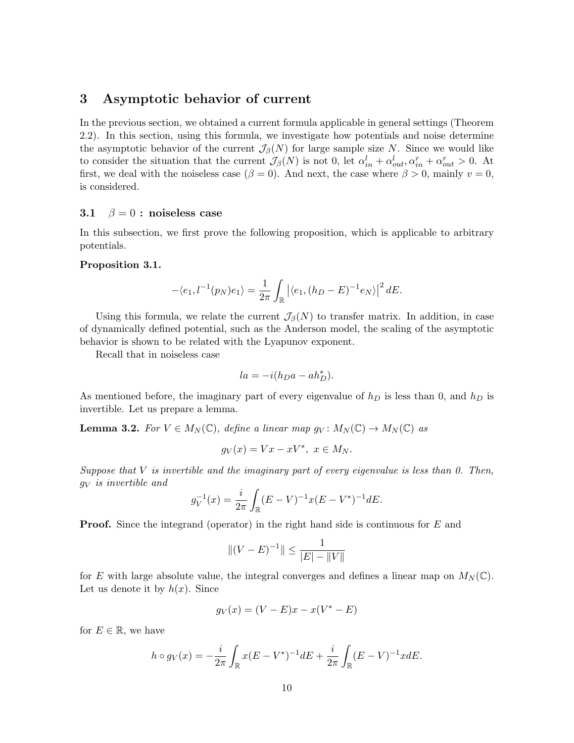# 3 Asymptotic behavior of current

In the previous section, we obtained a current formula applicable in general settings (Theorem 2.2). In this section, using this formula, we investigate how potentials and noise determine the asymptotic behavior of the current  $\mathcal{J}_{\beta}(N)$  for large sample size N. Since we would like to consider the situation that the current  $\mathcal{J}_{\beta}(N)$  is not 0, let  $\alpha_{in}^l + \alpha_{out}^l, \alpha_{in}^r + \alpha_{out}^r > 0$ . At first, we deal with the noiseless case ( $\beta = 0$ ). And next, the case where  $\beta > 0$ , mainly  $v = 0$ , is considered.

#### 3.1  $\beta = 0$ : noiseless case

In this subsection, we first prove the following proposition, which is applicable to arbitrary potentials.

#### Proposition 3.1.

$$
-\langle e_1, l^{-1}(p_N)e_1\rangle = \frac{1}{2\pi} \int_{\mathbb{R}} |\langle e_1, (h_D - E)^{-1} e_N\rangle|^2 dE.
$$

Using this formula, we relate the current  $\mathcal{J}_{\beta}(N)$  to transfer matrix. In addition, in case of dynamically defined potential, such as the Anderson model, the scaling of the asymptotic behavior is shown to be related with the Lyapunov exponent.

Recall that in noiseless case

$$
la = -i(h_D a - ah_D^*).
$$

As mentioned before, the imaginary part of every eigenvalue of  $h_D$  is less than 0, and  $h_D$  is invertible. Let us prepare a lemma.

**Lemma 3.2.** For  $V \in M_N(\mathbb{C})$ , define a linear map  $g_V: M_N(\mathbb{C}) \to M_N(\mathbb{C})$  as

$$
g_V(x) = Vx - xV^*, \ x \in M_N.
$$

Suppose that  $V$  is invertible and the imaginary part of every eigenvalue is less than  $0$ . Then,  $g_V$  is invertible and

$$
g_V^{-1}(x) = \frac{i}{2\pi} \int_{\mathbb{R}} (E - V)^{-1} x (E - V^*)^{-1} dE.
$$

**Proof.** Since the integrand (operator) in the right hand side is continuous for E and

$$
||(V - E)^{-1}|| \le \frac{1}{|E| - ||V||}
$$

for E with large absolute value, the integral converges and defines a linear map on  $M_N(\mathbb{C})$ . Let us denote it by  $h(x)$ . Since

$$
g_V(x) = (V - E)x - x(V^* - E)
$$

for  $E \in \mathbb{R}$ , we have

$$
h \circ g_V(x) = -\frac{i}{2\pi} \int_{\mathbb{R}} x(E - V^*)^{-1} dE + \frac{i}{2\pi} \int_{\mathbb{R}} (E - V)^{-1} x dE.
$$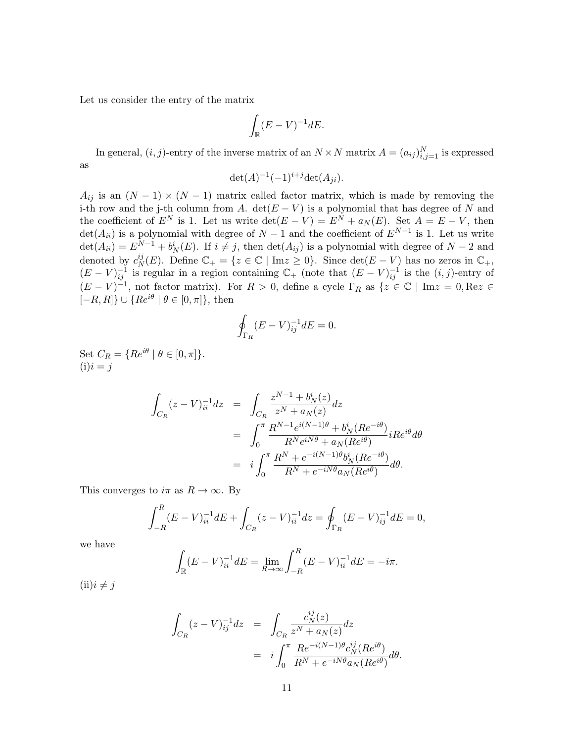Let us consider the entry of the matrix

$$
\int_{\mathbb{R}} (E - V)^{-1} dE.
$$

In general,  $(i, j)$ -entry of the inverse matrix of an  $N \times N$  matrix  $A = (a_{ij})_{i,j=1}^N$  is expressed as

$$
\det(A)^{-1}(-1)^{i+j}\det(A_{ji}).
$$

 $A_{ij}$  is an  $(N-1) \times (N-1)$  matrix called factor matrix, which is made by removing the i-th row and the j-th column from A. det( $E - V$ ) is a polynomial that has degree of N and the coefficient of  $E^N$  is 1. Let us write  $\det(E - V) = E^N + a_N(E)$ . Set  $A = E - V$ , then  $\det(A_{ii})$  is a polynomial with degree of  $N-1$  and the coefficient of  $E^{N-1}$  is 1. Let us write  $\det(A_{ii}) = E^{N-1} + b^i_N(E)$ . If  $i \neq j$ , then  $\det(A_{ij})$  is a polynomial with degree of  $N-2$  and denoted by  $c_N^{ij}$  $N(K)$ . Define  $\mathbb{C}_+ = \{z \in \mathbb{C} \mid \text{Im} z \geq 0\}$ . Since  $\det(E - V)$  has no zeros in  $\mathbb{C}_+$ ,  $(E - V)^{-1}_{ij}$  is regular in a region containing  $\mathbb{C}_{+}$  (note that  $(E - V)^{-1}_{ij}$  is the  $(i, j)$ -entry of  $(E - V)^{-1}$ , not factor matrix). For  $R > 0$ , define a cycle  $\Gamma_R$  as  $\{z \in \mathbb{C} \mid \text{Im} z = 0, \text{Re} z \in \mathbb{C} \mid \text{Im} z = 0\}$  $[-R, R]$   $\cup$  { $Re^{i\theta}$  |  $\theta \in [0, \pi]$ }, then

$$
\oint_{\Gamma_R} (E - V)^{-1}_{ij} dE = 0.
$$

Set  $C_R = \{Re^{i\theta} \mid \theta \in [0, \pi]\}.$  $(i)i = j$ 

$$
\int_{C_R} (z - V)_{ii}^{-1} dz = \int_{C_R} \frac{z^{N-1} + b_N^i(z)}{z^N + a_N(z)} dz
$$
  
\n
$$
= \int_0^{\pi} \frac{R^{N-1} e^{i(N-1)\theta} + b_N^i(Re^{-i\theta})}{R^N e^{iN\theta} + a_N(Re^{i\theta})} iRe^{i\theta} d\theta
$$
  
\n
$$
= i \int_0^{\pi} \frac{R^N + e^{-i(N-1)\theta} b_N^i(Re^{-i\theta})}{R^N + e^{-iN\theta} a_N(Re^{i\theta})} d\theta.
$$

This converges to  $i\pi$  as  $R \to \infty$ . By

$$
\int_{-R}^{R} (E - V)_{ii}^{-1} dE + \int_{C_R} (z - V)_{ii}^{-1} dz = \oint_{\Gamma_R} (E - V)_{ij}^{-1} dE = 0,
$$

we have

$$
\int_{\mathbb{R}} (E - V)_{ii}^{-1} dE = \lim_{R \to \infty} \int_{-R}^{R} (E - V)_{ii}^{-1} dE = -i\pi.
$$

 $(ii)i \neq j$ 

$$
\int_{C_R} (z - V)^{-1}_{ij} dz = \int_{C_R} \frac{c_N^{ij}(z)}{z^N + a_N(z)} dz
$$
  

$$
= i \int_0^{\pi} \frac{Re^{-i(N-1)\theta} c_N^{ij}(Re^{i\theta})}{R^N + e^{-iN\theta} a_N(Re^{i\theta})} d\theta.
$$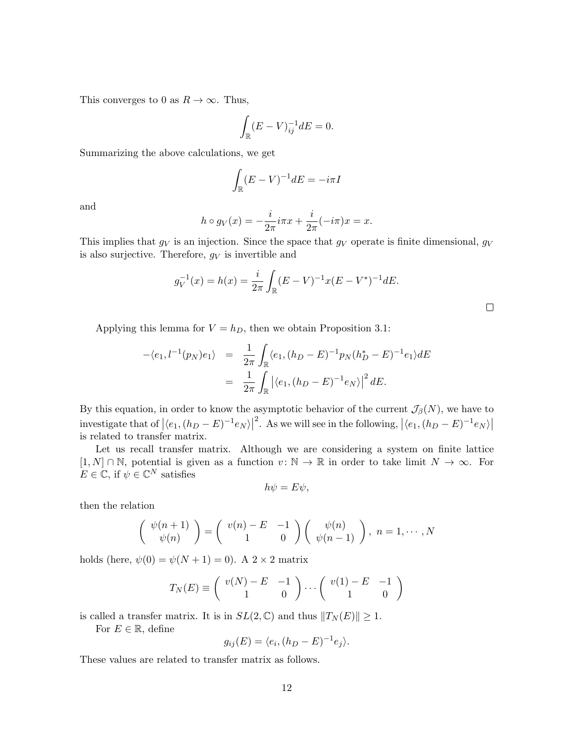This converges to 0 as  $R \to \infty$ . Thus,

$$
\int_{\mathbb{R}} (E - V)_{ij}^{-1} dE = 0.
$$

Summarizing the above calculations, we get

$$
\int_{\mathbb{R}} (E - V)^{-1} dE = -i\pi I
$$

and

$$
h \circ g_V(x) = -\frac{i}{2\pi} i\pi x + \frac{i}{2\pi} (-i\pi)x = x.
$$

This implies that  $g_V$  is an injection. Since the space that  $g_V$  operate is finite dimensional,  $g_V$ is also surjective. Therefore,  $g_V$  is invertible and

$$
g_V^{-1}(x) = h(x) = \frac{i}{2\pi} \int_{\mathbb{R}} (E - V)^{-1} x(E - V^*)^{-1} dE.
$$

Applying this lemma for  $V = h_D$ , then we obtain Proposition 3.1:

$$
-\langle e_1, l^{-1}(p_N)e_1 \rangle = \frac{1}{2\pi} \int_{\mathbb{R}} \langle e_1, (h_D - E)^{-1} p_N(h_D^* - E)^{-1} e_1 \rangle dE
$$
  

$$
= \frac{1}{2\pi} \int_{\mathbb{R}} |\langle e_1, (h_D - E)^{-1} e_N \rangle|^2 dE.
$$

By this equation, in order to know the asymptotic behavior of the current  $\mathcal{J}_{\beta}(N)$ , we have to investigate that of  $|(e_1,(h_D - E)^{-1}e_N\rangle|$ <sup>2</sup>. As we will see in the following,  $|\langle e_1,(h_D-E)^{-1}e_N\rangle|$ is related to transfer matrix.

Let us recall transfer matrix. Although we are considering a system on finite lattice  $[1, N] \cap \mathbb{N}$ , potential is given as a function  $v : \mathbb{N} \to \mathbb{R}$  in order to take limit  $N \to \infty$ . For  $E \in \mathbb{C}$ , if  $\psi \in \mathbb{C}^N$  satisfies

$$
h\psi = E\psi,
$$

then the relation

$$
\begin{pmatrix} \psi(n+1) \\ \psi(n) \end{pmatrix} = \begin{pmatrix} v(n) - E & -1 \\ 1 & 0 \end{pmatrix} \begin{pmatrix} \psi(n) \\ \psi(n-1) \end{pmatrix}, n = 1, \cdots, N
$$

holds (here,  $\psi(0) = \psi(N + 1) = 0$ ). A  $2 \times 2$  matrix

$$
T_N(E) \equiv \left( \begin{array}{cc} v(N) - E & -1 \\ 1 & 0 \end{array} \right) \cdots \left( \begin{array}{cc} v(1) - E & -1 \\ 1 & 0 \end{array} \right)
$$

is called a transfer matrix. It is in  $SL(2,\mathbb{C})$  and thus  $||T_N(E)|| \geq 1$ .

For  $E \in \mathbb{R}$ , define

$$
g_{ij}(E) = \langle e_i, (h_D - E)^{-1} e_j \rangle.
$$

These values are related to transfer matrix as follows.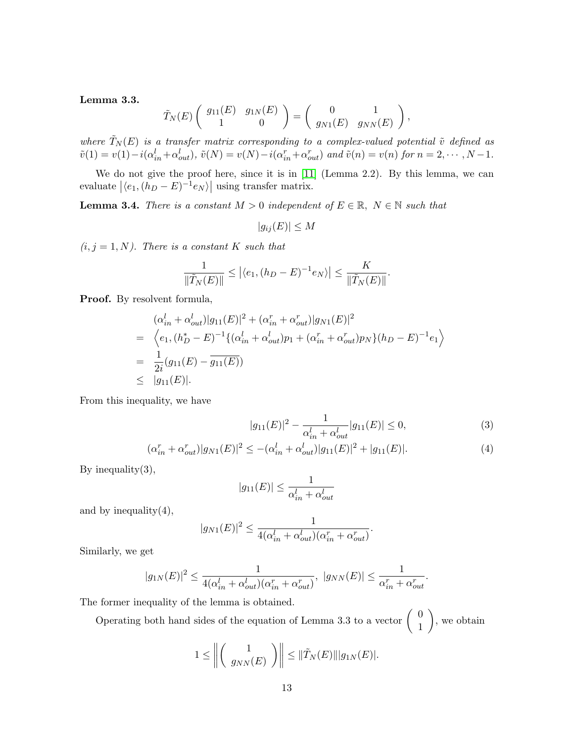#### Lemma 3.3.

$$
\tilde{T}_N(E)\left(\begin{array}{cc} g_{11}(E) & g_{1N}(E) \\ 1 & 0 \end{array}\right)=\left(\begin{array}{cc} 0 & 1 \\ g_{N1}(E) & g_{NN}(E) \end{array}\right),
$$

where  $\tilde{T}_N(E)$  is a transfer matrix corresponding to a complex-valued potential  $\tilde{v}$  defined as  $\tilde{v}(1) = v(1) - i(\alpha_{in}^l + \alpha_{out}^l), \ \tilde{v}(N) = v(N) - i(\alpha_{in}^r + \alpha_{out}^r) \text{ and } \tilde{v}(n) = v(n) \text{ for } n = 2, \cdots, N-1.$ 

We do not give the proof here, since it is in [\[11\]](#page-26-4) (Lemma 2.2). By this lemma, we can evaluate  $|\langle e_1, (h_D - E)^{-1} e_N \rangle|$  using transfer matrix.

**Lemma 3.4.** There is a constant  $M > 0$  independent of  $E \in \mathbb{R}$ ,  $N \in \mathbb{N}$  such that

$$
|g_{ij}(E)| \le M
$$

 $(i, j = 1, N)$ . There is a constant K such that

$$
\frac{1}{\|\tilde{T}_N(E)\|} \leq \left| \langle e_1, (h_D - E)^{-1} e_N \rangle \right| \leq \frac{K}{\|\tilde{T}_N(E)\|}.
$$

Proof. By resolvent formula,

$$
\begin{aligned}\n(\alpha_{in}^l + \alpha_{out}^l)|g_{11}(E)|^2 + (\alpha_{in}^r + \alpha_{out}^r)|g_{N1}(E)|^2 \\
= \left\langle e_1, (h_D^* - E)^{-1}\{(\alpha_{in}^l + \alpha_{out}^l)p_1 + (\alpha_{in}^r + \alpha_{out}^r)p_N\}(h_D - E)^{-1}e_1\right\rangle \\
= \frac{1}{2i}(g_{11}(E) - \overline{g_{11}(E)}) \\
\leq |g_{11}(E)|.\n\end{aligned}
$$

From this inequality, we have

$$
|g_{11}(E)|^2 - \frac{1}{\alpha_{in}^l + \alpha_{out}^l} |g_{11}(E)| \le 0,
$$
\n(3)

$$
(\alpha_{in}^r + \alpha_{out}^r)|g_{N1}(E)|^2 \le -(\alpha_{in}^l + \alpha_{out}^l)|g_{11}(E)|^2 + |g_{11}(E)|. \tag{4}
$$

By inequality $(3)$ ,

$$
|g_{11}(E)| \le \frac{1}{\alpha_{in}^l + \alpha_{out}^l}
$$

and by inequality $(4)$ ,

$$
|g_{N1}(E)|^2 \le \frac{1}{4(\alpha_{in}^l + \alpha_{out}^l)(\alpha_{in}^r + \alpha_{out}^r)}.
$$

Similarly, we get

$$
|g_{1N}(E)|^2 \le \frac{1}{4(\alpha_{in}^l + \alpha_{out}^l)(\alpha_{in}^r + \alpha_{out}^r)}, \ |g_{NN}(E)| \le \frac{1}{\alpha_{in}^r + \alpha_{out}^r}.
$$

The former inequality of the lemma is obtained.

Operating both hand sides of the equation of Lemma 3.3 to a vector  $\begin{pmatrix} 0 \\ 1 \end{pmatrix}$ 1 , we obtain

$$
1 \leq \left\| \left( \begin{array}{c} 1 \\ g_{NN}(E) \end{array} \right) \right\| \leq ||\tilde{T}_N(E)|| |g_{1N}(E)|.
$$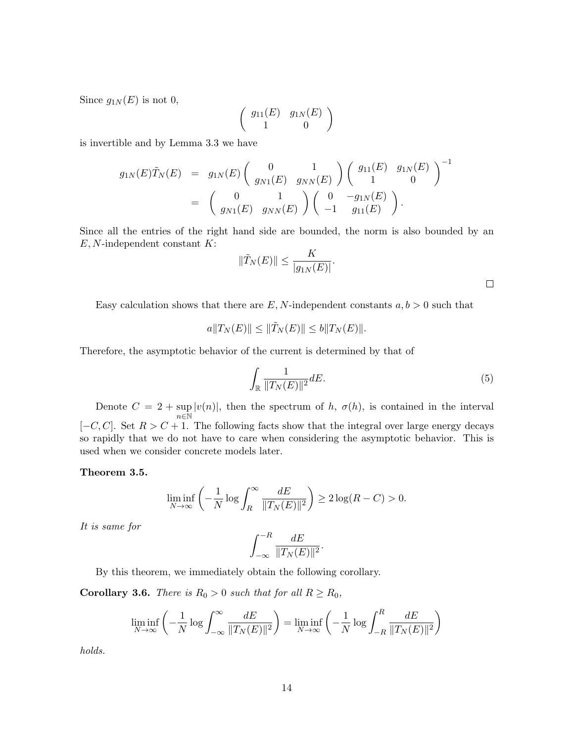Since  $g_{1N}(E)$  is not 0,

$$
\left(\begin{array}{cc}g_{11}(E) & g_{1N}(E) \\ 1 & 0\end{array}\right)
$$

is invertible and by Lemma 3.3 we have

$$
g_{1N}(E)\tilde{T}_N(E) = g_{1N}(E) \begin{pmatrix} 0 & 1 \\ g_{N1}(E) & g_{NN}(E) \end{pmatrix} \begin{pmatrix} g_{11}(E) & g_{1N}(E) \\ 1 & 0 \end{pmatrix}^{-1}
$$
  
=  $\begin{pmatrix} 0 & 1 \\ g_{N1}(E) & g_{NN}(E) \end{pmatrix} \begin{pmatrix} 0 & -g_{1N}(E) \\ -1 & g_{11}(E) \end{pmatrix}.$ 

Since all the entries of the right hand side are bounded, the norm is also bounded by an  $E, N$ -independent constant  $K$ :

$$
\|\tilde{T}_N(E)\| \le \frac{K}{|g_{1N}(E)|}.
$$

Easy calculation shows that there are  $E, N$ -independent constants  $a, b > 0$  such that

$$
a||T_N(E)|| \le ||\tilde{T}_N(E)|| \le b||T_N(E)||.
$$

Therefore, the asymptotic behavior of the current is determined by that of

$$
\int_{\mathbb{R}} \frac{1}{\|T_N(E)\|^2} dE. \tag{5}
$$

 $\Box$ 

Denote  $C = 2 + \sup$  $n$ ∈Ñ  $|v(n)|$ , then the spectrum of h,  $\sigma(h)$ , is contained in the interval  $[-C, C]$ . Set  $R > C + 1$ . The following facts show that the integral over large energy decays so rapidly that we do not have to care when considering the asymptotic behavior. This is used when we consider concrete models later.

Theorem 3.5.

$$
\liminf_{N \to \infty} \left( -\frac{1}{N} \log \int_R^{\infty} \frac{dE}{\|T_N(E)\|^2} \right) \ge 2 \log(R - C) > 0.
$$

It is same for

$$
\int_{-\infty}^{-R} \frac{dE}{\|T_N(E)\|^2}.
$$

By this theorem, we immediately obtain the following corollary.

**Corollary 3.6.** There is  $R_0 > 0$  such that for all  $R \ge R_0$ ,

$$
\liminf_{N \to \infty} \left( -\frac{1}{N} \log \int_{-\infty}^{\infty} \frac{dE}{\|T_N(E)\|^2} \right) = \liminf_{N \to \infty} \left( -\frac{1}{N} \log \int_{-R}^{R} \frac{dE}{\|T_N(E)\|^2} \right)
$$

holds.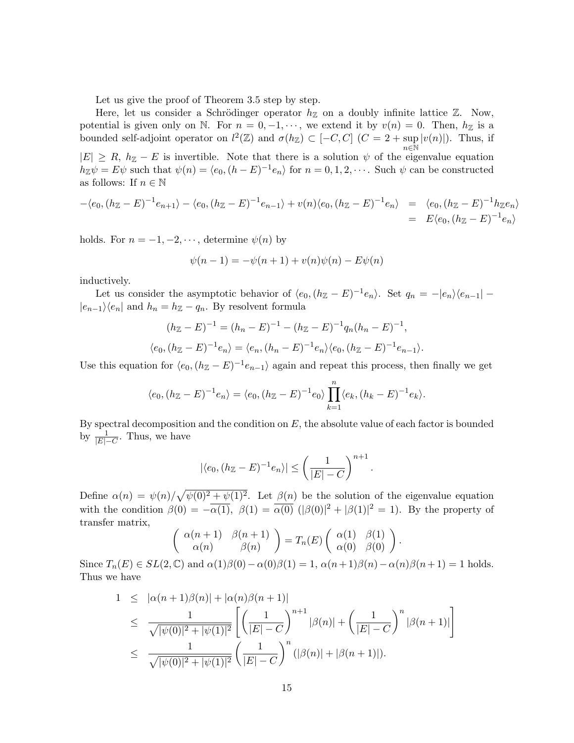Let us give the proof of Theorem 3.5 step by step.

Here, let us consider a Schrödinger operator  $h_{\mathbb{Z}}$  on a doubly infinite lattice  $\mathbb{Z}$ . Now, potential is given only on N. For  $n = 0, -1, \dots$ , we extend it by  $v(n) = 0$ . Then,  $h_{\mathbb{Z}}$  is a bounded self-adjoint operator on  $l^2(\mathbb{Z})$  and  $\sigma(h_{\mathbb{Z}}) \subset [-C, C]$   $(C = 2 + \sup$  $n\bar{\in}\mathbb{\bar{N}}$  $|v(n)|$ ). Thus, if  $|E| \ge R$ ,  $h_{\mathbb{Z}} - E$  is invertible. Note that there is a solution  $\psi$  of the eigenvalue equation

 $h_{\mathbb{Z}}\psi = E\psi$  such that  $\psi(n) = \langle e_0, (h - E)^{-1}e_n \rangle$  for  $n = 0, 1, 2, \cdots$ . Such  $\psi$  can be constructed as follows: If  $n \in \mathbb{N}$ 

$$
-\langle e_0, (h_{\mathbb{Z}} - E)^{-1} e_{n+1} \rangle - \langle e_0, (h_{\mathbb{Z}} - E)^{-1} e_{n-1} \rangle + v(n) \langle e_0, (h_{\mathbb{Z}} - E)^{-1} e_n \rangle = \langle e_0, (h_{\mathbb{Z}} - E)^{-1} h_{\mathbb{Z}} e_n \rangle
$$
  
=  $E \langle e_0, (h_{\mathbb{Z}} - E)^{-1} e_n \rangle$ 

holds. For  $n = -1, -2, \dots$ , determine  $\psi(n)$  by

$$
\psi(n-1) = -\psi(n+1) + v(n)\psi(n) - E\psi(n)
$$

inductively.

Let us consider the asymptotic behavior of  $\langle e_0, (h_{\mathbb{Z}} - E)^{-1} e_n \rangle$ . Set  $q_n = -|e_n\rangle\langle e_{n-1}|$  $|e_{n-1}\rangle\langle e_n|$  and  $h_n = h_{\mathbb{Z}} - q_n$ . By resolvent formula

$$
(h_{\mathbb{Z}} - E)^{-1} = (h_n - E)^{-1} - (h_{\mathbb{Z}} - E)^{-1} q_n (h_n - E)^{-1},
$$
  

$$
\langle e_0, (h_{\mathbb{Z}} - E)^{-1} e_n \rangle = \langle e_n, (h_n - E)^{-1} e_n \rangle \langle e_0, (h_{\mathbb{Z}} - E)^{-1} e_{n-1} \rangle.
$$

Use this equation for  $\langle e_0, (h_{\mathbb{Z}} - E)^{-1} e_{n-1} \rangle$  again and repeat this process, then finally we get

$$
\langle e_0, (h_{\mathbb{Z}}-E)^{-1}e_n \rangle = \langle e_0, (h_{\mathbb{Z}}-E)^{-1}e_0 \rangle \prod_{k=1}^n \langle e_k, (h_k-E)^{-1}e_k \rangle.
$$

By spectral decomposition and the condition on  $E$ , the absolute value of each factor is bounded by  $\frac{1}{|E|-C}$ . Thus, we have

$$
|\langle e_0, (h_{\mathbb{Z}} - E)^{-1} e_n \rangle| \le \left(\frac{1}{|E| - C}\right)^{n+1}
$$

.

.

Define  $\alpha(n) = \psi(n)/\sqrt{\psi(0)^2 + \psi(1)^2}$ . Let  $\beta(n)$  be the solution of the eigenvalue equation with the condition  $\beta(0) = -\overline{\alpha(1)}$ ,  $\beta(1) = \overline{\alpha(0)} \left( |\beta(0)|^2 + |\beta(1)|^2 = 1 \right)$ . By the property of transfer matrix,

$$
\begin{pmatrix}\n\alpha(n+1) & \beta(n+1) \\
\alpha(n) & \beta(n)\n\end{pmatrix} = T_n(E) \begin{pmatrix}\n\alpha(1) & \beta(1) \\
\alpha(0) & \beta(0)\n\end{pmatrix}
$$

Since  $T_n(E) \in SL(2,\mathbb{C})$  and  $\alpha(1)\beta(0) - \alpha(0)\beta(1) = 1$ ,  $\alpha(n+1)\beta(n) - \alpha(n)\beta(n+1) = 1$  holds. Thus we have

$$
1 \leq |\alpha(n+1)\beta(n)| + |\alpha(n)\beta(n+1)|
$$
  
\n
$$
\leq \frac{1}{\sqrt{|\psi(0)|^2 + |\psi(1)|^2}} \left[ \left( \frac{1}{|E|-C} \right)^{n+1} |\beta(n)| + \left( \frac{1}{|E|-C} \right)^n |\beta(n+1)| \right]
$$
  
\n
$$
\leq \frac{1}{\sqrt{|\psi(0)|^2 + |\psi(1)|^2}} \left( \frac{1}{|E|-C} \right)^n (|\beta(n)| + |\beta(n+1)|).
$$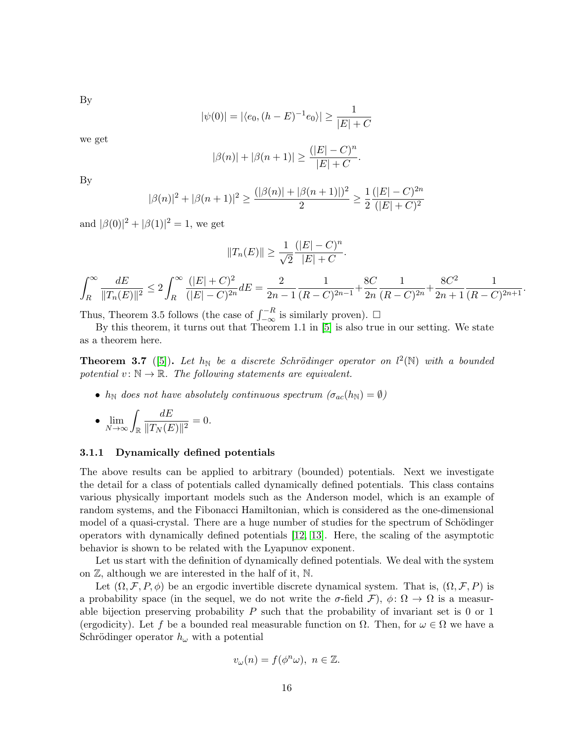By

$$
|\psi(0)| = |\langle e_0, (h - E)^{-1} e_0 \rangle| \ge \frac{1}{|E| + C}
$$

we get

$$
|\beta(n)| + |\beta(n+1)| \ge \frac{(|E| - C)^n}{|E| + C}.
$$

By

$$
|\beta(n)|^2 + |\beta(n+1)|^2 \ge \frac{(|\beta(n)| + |\beta(n+1)|)^2}{2} \ge \frac{1}{2} \frac{(|E| - C)^{2n}}{(|E| + C)^2}
$$

and  $|\beta(0)|^2 + |\beta(1)|^2 = 1$ , we get

$$
||T_n(E)|| \ge \frac{1}{\sqrt{2}} \frac{(|E| - C)^n}{|E| + C}.
$$

$$
\int_R^{\infty} \frac{dE}{\|T_n(E)\|^2} \le 2 \int_R^{\infty} \frac{(|E|+C)^2}{(|E|-C)^{2n}} dE = \frac{2}{2n-1} \frac{1}{(R-C)^{2n-1}} + \frac{8C}{2n} \frac{1}{(R-C)^{2n}} + \frac{8C^2}{2n+1} \frac{1}{(R-C)^{2n+1}}.
$$

Thus, Theorem 3.5 follows (the case of  $\int_{-\infty}^{-R}$  is similarly proven). □

By this theorem, it turns out that Theorem 1.1 in [\[5\]](#page-25-4) is also true in our setting. We state as a theorem here.

**Theorem 3.7** ([\[5\]](#page-25-4)). Let  $h_N$  be a discrete Schrödinger operator on  $l^2(N)$  with a bounded potential  $v: \mathbb{N} \to \mathbb{R}$ . The following statements are equivalent.

•  $h_N$  does not have absolutely continuous spectrum  $(\sigma_{ac}(h_N) = \emptyset)$ 

• 
$$
\lim_{N \to \infty} \int_{\mathbb{R}} \frac{dE}{\|T_N(E)\|^2} = 0.
$$

#### 3.1.1 Dynamically defined potentials

The above results can be applied to arbitrary (bounded) potentials. Next we investigate the detail for a class of potentials called dynamically defined potentials. This class contains various physically important models such as the Anderson model, which is an example of random systems, and the Fibonacci Hamiltonian, which is considered as the one-dimensional model of a quasi-crystal. There are a huge number of studies for the spectrum of Schödinger operators with dynamically defined potentials [\[12,](#page-26-5) [13\]](#page-26-6). Here, the scaling of the asymptotic behavior is shown to be related with the Lyapunov exponent.

Let us start with the definition of dynamically defined potentials. We deal with the system on Z, although we are interested in the half of it, N.

Let  $(\Omega, \mathcal{F}, P, \phi)$  be an ergodic invertible discrete dynamical system. That is,  $(\Omega, \mathcal{F}, P)$  is a probability space (in the sequel, we do not write the  $\sigma$ -field  $\mathcal{F}$ ),  $\phi \colon \Omega \to \Omega$  is a measurable bijection preserving probability  $P$  such that the probability of invariant set is 0 or 1 (ergodicity). Let f be a bounded real measurable function on  $\Omega$ . Then, for  $\omega \in \Omega$  we have a Schrödinger operator  $h_{\omega}$  with a potential

$$
v_{\omega}(n) = f(\phi^n \omega), \ n \in \mathbb{Z}.
$$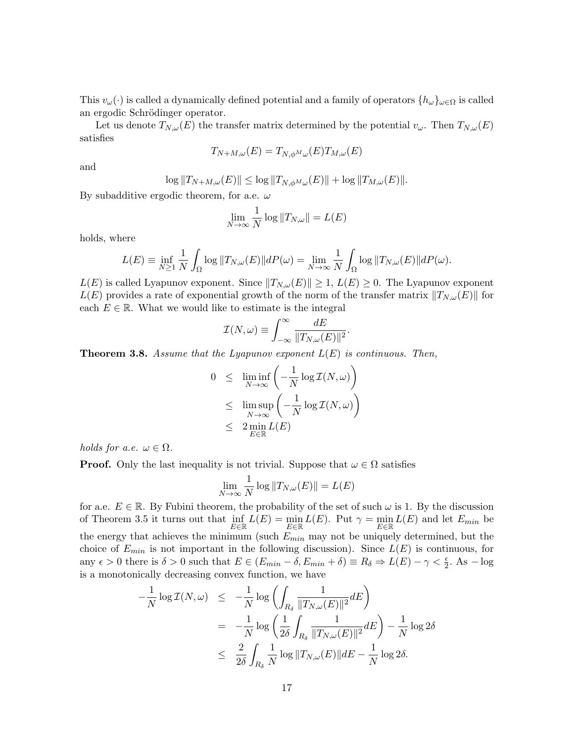This  $v_\omega(\cdot)$  is called a dynamically defined potential and a family of operators  $\{h_\omega\}_{\omega \in \Omega}$  is called an ergodic Schrödinger operator.

Let us denote  $T_{N,\omega}(E)$  the transfer matrix determined by the potential  $v_{\omega}$ . Then  $T_{N,\omega}(E)$ satisfies

$$
T_{N+M,\omega}(E) = T_{N,\phi^M\omega}(E)T_{M,\omega}(E)
$$

and

$$
\log ||T_{N+M,\omega}(E)|| \leq \log ||T_{N,\phi^M\omega}(E)|| + \log ||T_{M,\omega}(E)||.
$$

By subadditive ergodic theorem, for a.e.  $\omega$ 

$$
\lim_{N \to \infty} \frac{1}{N} \log ||T_{N,\omega}|| = L(E)
$$

holds, where

$$
L(E) \equiv \inf_{N \ge 1} \frac{1}{N} \int_{\Omega} \log ||T_{N,\omega}(E)|| dP(\omega) = \lim_{N \to \infty} \frac{1}{N} \int_{\Omega} \log ||T_{N,\omega}(E)|| dP(\omega).
$$

 $L(E)$  is called Lyapunov exponent. Since  $||T_{N,\omega}(E)|| \geq 1$ ,  $L(E) \geq 0$ . The Lyapunov exponent  $L(E)$  provides a rate of exponential growth of the norm of the transfer matrix  $||T_{N,\omega}(E)||$  for each  $E \in \mathbb{R}$ . What we would like to estimate is the integral

$$
\mathcal{I}(N,\omega) \equiv \int_{-\infty}^{\infty} \frac{dE}{\|T_{N,\omega}(E)\|^2}
$$

.

**Theorem 3.8.** Assume that the Lyapunov exponent  $L(E)$  is continuous. Then,

$$
0 \leq \liminf_{N \to \infty} \left( -\frac{1}{N} \log T(N, \omega) \right)
$$
  

$$
\leq \limsup_{N \to \infty} \left( -\frac{1}{N} \log T(N, \omega) \right)
$$
  

$$
\leq 2 \min_{E \in \mathbb{R}} L(E)
$$

holds for a.e.  $\omega \in \Omega$ .

**Proof.** Only the last inequality is not trivial. Suppose that  $\omega \in \Omega$  satisfies

$$
\lim_{N \to \infty} \frac{1}{N} \log ||T_{N,\omega}(E)|| = L(E)
$$

for a.e.  $E \in \mathbb{R}$ . By Fubini theorem, the probability of the set of such  $\omega$  is 1. By the discussion of Theorem 3.5 it turns out that  $\inf_{E \in \mathbb{R}} L(E) = \min_{E \in \mathbb{R}} L(E)$ . Put  $\gamma = \min_{E \in \mathbb{R}} L(E)$  and let  $E_{min}$  be the energy that achieves the minimum (such  $E_{min}$  may not be uniquely determined, but the choice of  $E_{min}$  is not important in the following discussion). Since  $L(E)$  is continuous, for any  $\epsilon > 0$  there is  $\delta > 0$  such that  $E \in (E_{min} - \delta, E_{min} + \delta) \equiv R_{\delta} \Rightarrow L(E) - \gamma < \frac{\epsilon}{2}$ . As  $-\log \frac{\epsilon}{2}$ is a monotonically decreasing convex function, we have

$$
-\frac{1}{N}\log \mathcal{I}(N,\omega) \leq -\frac{1}{N}\log \left( \int_{R_{\delta}} \frac{1}{\|T_{N,\omega}(E)\|^2} dE \right)
$$
  

$$
= -\frac{1}{N}\log \left( \frac{1}{2\delta} \int_{R_{\delta}} \frac{1}{\|T_{N,\omega}(E)\|^2} dE \right) - \frac{1}{N}\log 2\delta
$$
  

$$
\leq \frac{2}{2\delta} \int_{R_{\delta}} \frac{1}{N} \log \|T_{N,\omega}(E)\| dE - \frac{1}{N}\log 2\delta.
$$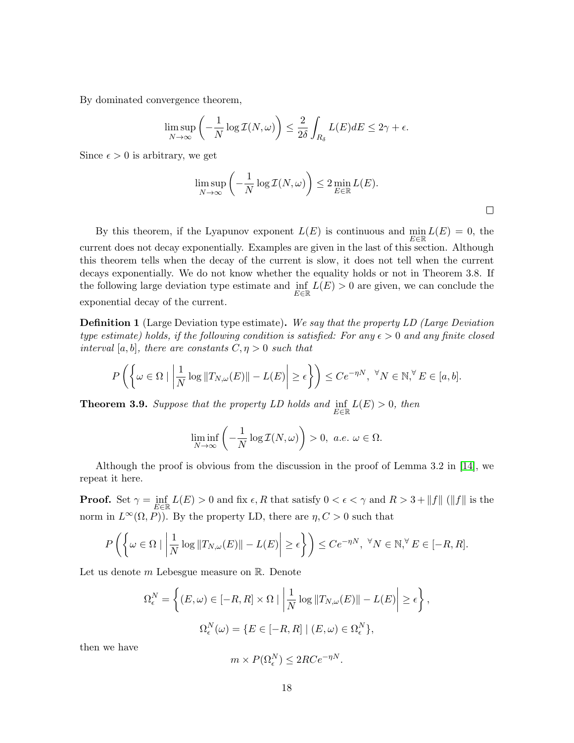By dominated convergence theorem,

$$
\limsup_{N \to \infty} \left( -\frac{1}{N} \log \mathcal{I}(N, \omega) \right) \le \frac{2}{2\delta} \int_{R_{\delta}} L(E) dE \le 2\gamma + \epsilon.
$$

Since  $\epsilon > 0$  is arbitrary, we get

$$
\limsup_{N \to \infty} \left( -\frac{1}{N} \log \mathcal{I}(N, \omega) \right) \le 2 \min_{E \in \mathbb{R}} L(E).
$$

 $\Box$ 

By this theorem, if the Lyapunov exponent  $L(E)$  is continuous and  $\min_{\mathbf{L}} L(E) = 0$ , the E∈R current does not decay exponentially. Examples are given in the last of this section. Although this theorem tells when the decay of the current is slow, it does not tell when the current decays exponentially. We do not know whether the equality holds or not in Theorem 3.8. If the following large deviation type estimate and  $\inf_{z \in E} L(E) > 0$  are given, we can conclude the E∈R exponential decay of the current.

Definition 1 (Large Deviation type estimate). We say that the property LD (Large Deviation type estimate) holds, if the following condition is satisfied: For any  $\epsilon > 0$  and any finite closed interval [a, b], there are constants  $C, \eta > 0$  such that

$$
P\left(\left\{\omega \in \Omega \mid \left|\frac{1}{N}\log\|T_{N,\omega}(E)\| - L(E)\right| \ge \epsilon\right\}\right) \le Ce^{-\eta N}, \ \forall N \in \mathbb{N}, \forall E \in [a,b].
$$

**Theorem 3.9.** Suppose that the property LD holds and  $\inf_{E \in \mathbb{R}} L(E) > 0$ , then

$$
\liminf_{N\to\infty}\left(-\frac{1}{N}\log\mathcal{I}(N,\omega)\right)>0,\,\,a.e.\,\,\omega\in\Omega.
$$

Although the proof is obvious from the discussion in the proof of Lemma 3.2 in [\[14\]](#page-26-7), we repeat it here.

**Proof.** Set  $\gamma = \inf_{E \in \mathbb{R}} L(E) > 0$  and fix  $\epsilon, R$  that satisfy  $0 < \epsilon < \gamma$  and  $R > 3 + ||f||$  ( $||f||$  is the norm in  $L^{\infty}(\Omega, P)$ . By the property LD, there are  $\eta, C > 0$  such that

$$
P\left(\left\{\omega \in \Omega \mid \left|\frac{1}{N}\log\|T_{N,\omega}(E)\| - L(E)\right| \ge \epsilon\right\}\right) \le Ce^{-\eta N}, \ \forall N \in \mathbb{N}, \forall E \in [-R, R].
$$

Let us denote  $m$  Lebesgue measure on  $\mathbb{R}$ . Denote

$$
\Omega_{\epsilon}^{N} = \left\{ (E, \omega) \in [-R, R] \times \Omega \mid \left| \frac{1}{N} \log ||T_{N, \omega}(E)|| - L(E) \right| \ge \epsilon \right\},\
$$
  

$$
\Omega_{\epsilon}^{N}(\omega) = \{ E \in [-R, R] \mid (E, \omega) \in \Omega_{\epsilon}^{N} \},\
$$

then we have

$$
m \times P(\Omega_{\epsilon}^N) \le 2RCe^{-\eta N}.
$$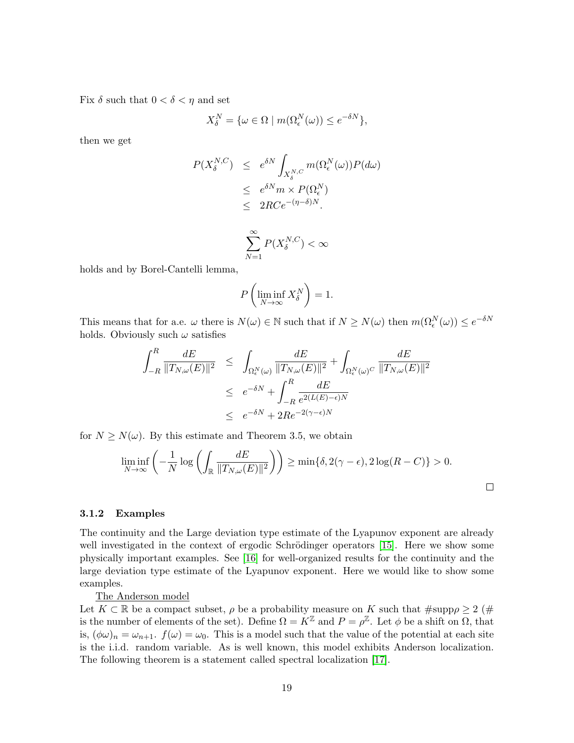Fix  $\delta$  such that  $0 < \delta < \eta$  and set

$$
X_{\delta}^{N} = \{ \omega \in \Omega \mid m(\Omega_{\epsilon}^{N}(\omega)) \le e^{-\delta N} \},
$$

then we get

$$
P(X_{\delta}^{N,C}) \leq e^{\delta N} \int_{X_{\delta}^{N,C}} m(\Omega_{\epsilon}^{N}(\omega)) P(d\omega)
$$
  
\n
$$
\leq e^{\delta N} m \times P(\Omega_{\epsilon}^{N})
$$
  
\n
$$
\leq 2RC e^{-(\eta-\delta)N}.
$$
  
\n
$$
\sum_{k=1}^{\infty} P(X_{\delta}^{N,C}) < \infty
$$

holds and by Borel-Cantelli lemma,

$$
P\left(\liminf_{N\to\infty}X_{\delta}^N\right)=1.
$$

 $N=1$ 

This means that for a.e.  $\omega$  there is  $N(\omega) \in \mathbb{N}$  such that if  $N \ge N(\omega)$  then  $m(\Omega_{\epsilon}^N(\omega)) \le e^{-\delta N}$ holds. Obviously such  $\omega$  satisfies

$$
\int_{-R}^{R} \frac{dE}{\|T_{N,\omega}(E)\|^2} \leq \int_{\Omega_{\epsilon}^N(\omega)} \frac{dE}{\|T_{N,\omega}(E)\|^2} + \int_{\Omega_{\epsilon}^N(\omega)^C} \frac{dE}{\|T_{N,\omega}(E)\|^2}
$$
  

$$
\leq e^{-\delta N} + \int_{-R}^{R} \frac{dE}{e^{2(L(E) - \epsilon)N}}
$$
  

$$
\leq e^{-\delta N} + 2Re^{-2(\gamma - \epsilon)N}
$$

for  $N \geq N(\omega)$ . By this estimate and Theorem 3.5, we obtain

$$
\liminf_{N \to \infty} \left( -\frac{1}{N} \log \left( \int_{\mathbb{R}} \frac{dE}{\|T_{N,\omega}(E)\|^2} \right) \right) \ge \min\{\delta, 2(\gamma - \epsilon), 2\log(R - C)\} > 0.
$$

#### 3.1.2 Examples

The continuity and the Large deviation type estimate of the Lyapunov exponent are already well investigated in the context of ergodic Schrödinger operators [\[15\]](#page-26-8). Here we show some physically important examples. See [\[16\]](#page-26-9) for well-organized results for the continuity and the large deviation type estimate of the Lyapunov exponent. Here we would like to show some examples.

The Anderson model

Let  $K \subset \mathbb{R}$  be a compact subset,  $\rho$  be a probability measure on K such that  $\#\text{supp}\rho \geq 2$  (# is the number of elements of the set). Define  $\Omega = K^{\mathbb{Z}}$  and  $P = \rho^{\mathbb{Z}}$ . Let  $\phi$  be a shift on  $\Omega$ , that is,  $(\phi \omega)_n = \omega_{n+1}$ .  $f(\omega) = \omega_0$ . This is a model such that the value of the potential at each site is the i.i.d. random variable. As is well known, this model exhibits Anderson localization. The following theorem is a statement called spectral localization [\[17\]](#page-26-10).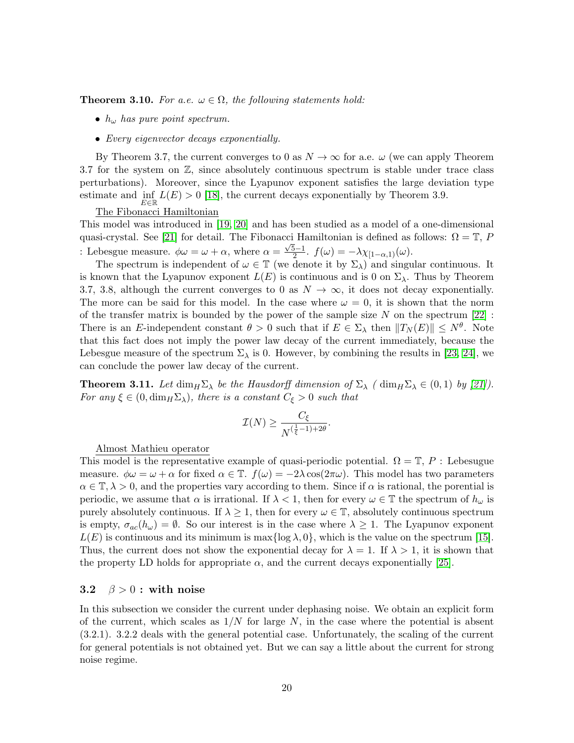**Theorem 3.10.** For a.e.  $\omega \in \Omega$ , the following statements hold:

- $h_{\omega}$  has pure point spectrum.
- Every eigenvector decays exponentially.

By Theorem 3.7, the current converges to 0 as  $N \to \infty$  for a.e.  $\omega$  (we can apply Theorem 3.7 for the system on  $\mathbb{Z}$ , since absolutely continuous spectrum is stable under trace class perturbations). Moreover, since the Lyapunov exponent satisfies the large deviation type estimate and  $\inf_{E \in \mathbb{R}} L(E) > 0$  [\[18\]](#page-26-11), the current decays exponentially by Theorem 3.9.

# The Fibonacci Hamiltonian

This model was introduced in [\[19,](#page-26-12) [20\]](#page-26-13) and has been studied as a model of a one-dimensional quasi-crystal. See [\[21\]](#page-27-0) for detail. The Fibonacci Hamiltonian is defined as follows:  $\Omega = \mathbb{T}$ , P : Lebesgue measure.  $\phi \omega = \omega + \alpha$ , where  $\alpha =$ √ 5−1  $\frac{b-1}{2}$ .  $f(\omega) = -\lambda \chi_{[1-\alpha,1)}(\omega)$ .

The spectrum is independent of  $\omega \in \mathbb{T}$  (we denote it by  $\Sigma_{\lambda}$ ) and singular continuous. It is known that the Lyapunov exponent  $L(E)$  is continuous and is 0 on  $\Sigma_{\lambda}$ . Thus by Theorem 3.7, 3.8, although the current converges to 0 as  $N \to \infty$ , it does not decay exponentially. The more can be said for this model. In the case where  $\omega = 0$ , it is shown that the norm of the transfer matrix is bounded by the power of the sample size  $N$  on the spectrum  $[22]$ : There is an E-independent constant  $\theta > 0$  such that if  $E \in \Sigma_{\lambda}$  then  $||T_N(E)|| \leq N^{\theta}$ . Note that this fact does not imply the power law decay of the current immediately, because the Lebesgue measure of the spectrum  $\Sigma_{\lambda}$  is 0. However, by combining the results in [\[23,](#page-27-2) [24\]](#page-27-3), we can conclude the power law decay of the current.

**Theorem 3.11.** Let  $\dim_H \Sigma_\lambda$  be the Hausdorff dimension of  $\Sigma_\lambda$  (  $\dim_H \Sigma_\lambda \in (0,1)$  by [\[21\]](#page-27-0)). For any  $\xi \in (0, \dim_H \Sigma_\lambda)$ , there is a constant  $C_\xi > 0$  such that

$$
\mathcal{I}(N) \ge \frac{C_{\xi}}{N^{(\frac{1}{\xi}-1)+2\theta}}.
$$

Almost Mathieu operator

This model is the representative example of quasi-periodic potential.  $\Omega = \mathbb{T}, P$  : Lebesugue measure.  $\phi \omega = \omega + \alpha$  for fixed  $\alpha \in \mathbb{T}$ .  $f(\omega) = -2\lambda \cos(2\pi \omega)$ . This model has two parameters  $\alpha \in \mathbb{T}, \lambda > 0$ , and the properties vary according to them. Since if  $\alpha$  is rational, the porential is periodic, we assume that  $\alpha$  is irrational. If  $\lambda < 1$ , then for every  $\omega \in \mathbb{T}$  the spectrum of  $h_{\omega}$  is purely absolutely continuous. If  $\lambda \geq 1$ , then for every  $\omega \in \mathbb{T}$ , absolutely continuous spectrum is empty,  $\sigma_{ac}(h_{\omega}) = \emptyset$ . So our interest is in the case where  $\lambda \geq 1$ . The Lyapunov exponent  $L(E)$  is continuous and its minimum is max $\{\log \lambda, 0\}$ , which is the value on the spectrum [\[15\]](#page-26-8). Thus, the current does not show the exponential decay for  $\lambda = 1$ . If  $\lambda > 1$ , it is shown that the property LD holds for appropriate  $\alpha$ , and the current decays exponentially [\[25\]](#page-27-4).

### 3.2  $\beta > 0$ : with noise

In this subsection we consider the current under dephasing noise. We obtain an explicit form of the current, which scales as  $1/N$  for large N, in the case where the potential is absent (3.2.1). 3.2.2 deals with the general potential case. Unfortunately, the scaling of the current for general potentials is not obtained yet. But we can say a little about the current for strong noise regime.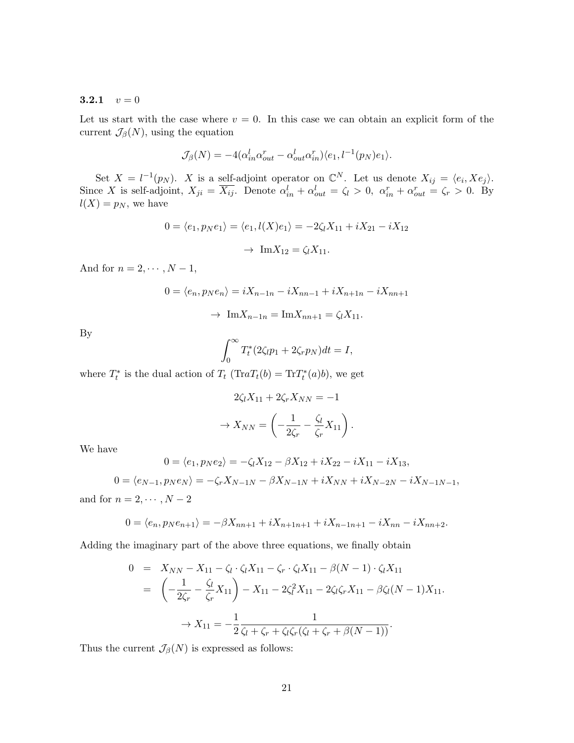### 3.2.1  $v = 0$

Let us start with the case where  $v = 0$ . In this case we can obtain an explicit form of the current  $\mathcal{J}_{\beta}(N)$ , using the equation

$$
\mathcal{J}_{\beta}(N) = -4(\alpha_{in}^{l} \alpha_{out}^{r} - \alpha_{out}^{l} \alpha_{in}^{r}) \langle e_1, l^{-1}(p_N)e_1 \rangle.
$$

Set  $X = l^{-1}(p_N)$ . X is a self-adjoint operator on  $\mathbb{C}^N$ . Let us denote  $X_{ij} = \langle e_i, Xe_j \rangle$ . Since X is self-adjoint,  $X_{ji} = \overline{X_{ij}}$ . Denote  $\alpha_{in}^l + \alpha_{out}^l = \zeta_l > 0$ ,  $\alpha_{in}^r + \alpha_{out}^r = \zeta_r > 0$ . By  $l(X) = p_N$ , we have

$$
0 = \langle e_1, p_N e_1 \rangle = \langle e_1, l(X)e_1 \rangle = -2\zeta_l X_{11} + iX_{21} - iX_{12}
$$

$$
\rightarrow \operatorname{Im} X_{12} = \zeta_l X_{11}.
$$

And for  $n = 2, \cdots, N-1$ ,

$$
0 = \langle e_n, p_N e_n \rangle = iX_{n-1n} - iX_{nn-1} + iX_{n+1n} - iX_{nn+1}
$$

$$
\rightarrow \operatorname{Im} X_{n-1n} = \operatorname{Im} X_{nn+1} = \zeta_l X_{11}.
$$

By

$$
\int_0^\infty T_t^*(2\zeta_l p_1 + 2\zeta_r p_N)dt = I,
$$

where  $T_t^*$  is the dual action of  $T_t$  (Tra $T_t(b) = \text{Tr} T_t^*(a)b$ ), we get

$$
2\zeta_l X_{11} + 2\zeta_r X_{NN} = -1
$$

$$
\rightarrow X_{NN} = \left(-\frac{1}{2\zeta_r} - \frac{\zeta_l}{\zeta_r} X_{11}\right).
$$

We have

$$
0 = \langle e_1, p_N e_2 \rangle = -\zeta_l X_{12} - \beta X_{12} + i X_{22} - i X_{11} - i X_{13},
$$

 $0 = \langle e_{N-1}, p_N e_N \rangle = -\zeta_r X_{N-1N} - \beta X_{N-1N} + iX_{NN} + iX_{N-2N} - iX_{N-1N-1},$ and for  $n = 2, \cdots, N - 2$ 

$$
0 = \langle e_n, p_N e_{n+1} \rangle = -\beta X_{nn+1} + iX_{n+1n+1} + iX_{n-1n+1} - iX_{nn} - iX_{nn+2}.
$$

Adding the imaginary part of the above three equations, we finally obtain

$$
0 = X_{NN} - X_{11} - \zeta_l \cdot \zeta_l X_{11} - \zeta_r \cdot \zeta_l X_{11} - \beta(N-1) \cdot \zeta_l X_{11}
$$
  
= 
$$
\left( -\frac{1}{2\zeta_r} - \frac{\zeta_l}{\zeta_r} X_{11} \right) - X_{11} - 2\zeta_l^2 X_{11} - 2\zeta_l \zeta_r X_{11} - \beta \zeta_l (N-1) X_{11}.
$$
  

$$
\to X_{11} = -\frac{1}{2} \frac{1}{\zeta_l + \zeta_r + \zeta_l \zeta_r (\zeta_l + \zeta_r + \beta(N-1))}.
$$

Thus the current  $\mathcal{J}_{\beta}(N)$  is expressed as follows: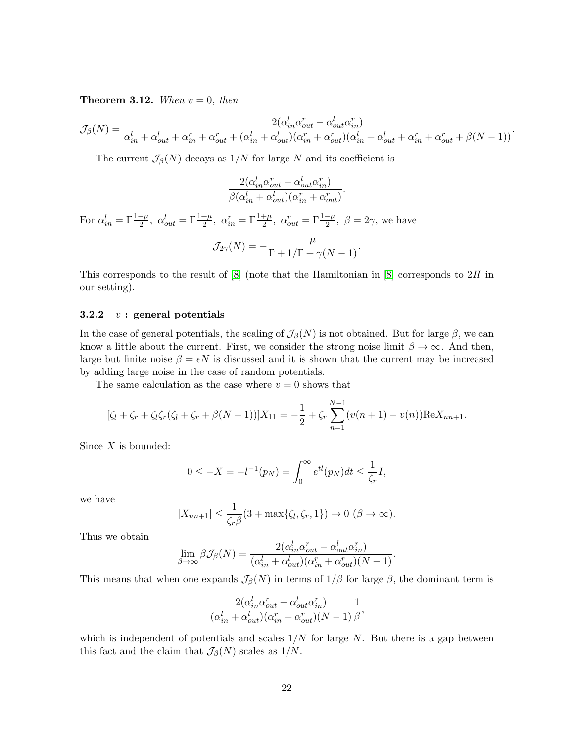**Theorem 3.12.** When  $v = 0$ , then

$$
\mathcal{J}_{\beta}(N) = \frac{2(\alpha_{in}^l \alpha_{out}^r - \alpha_{out}^l \alpha_{in}^r)}{\alpha_{in}^l + \alpha_{out}^l + \alpha_{in}^r + \alpha_{out}^r + (\alpha_{in}^l + \alpha_{out}^l)(\alpha_{in}^r + \alpha_{out}^r)(\alpha_{in}^l + \alpha_{out}^l + \alpha_{in}^r + \alpha_{out}^r + \beta(N-1))}.
$$

The current  $\mathcal{J}_{\beta}(N)$  decays as  $1/N$  for large N and its coefficient is

$$
\frac{2(\alpha_{in}^l\alpha_{out}^r - \alpha_{out}^l\alpha_{in}^r)}{\beta(\alpha_{in}^l + \alpha_{out}^l)(\alpha_{in}^r + \alpha_{out}^r)}.
$$

For  $\alpha_{in}^l = \Gamma \frac{1-\mu}{2}$ ,  $\alpha_{out}^l = \Gamma \frac{1+\mu}{2}$ ,  $\alpha_{in}^r = \Gamma \frac{1+\mu}{2}$ ,  $\alpha_{out}^r = \Gamma \frac{1-\mu}{2}$ ,  $\beta = 2\gamma$ , we have  $_{II}$ 

$$
\mathcal{J}_{2\gamma}(N) = -\frac{\mu}{\Gamma + 1/\Gamma + \gamma(N-1)}.
$$

This corresponds to the result of  $[8]$  (note that the Hamiltonian in  $[8]$  corresponds to  $2H$  in our setting).

### 3.2.2  $v:$  general potentials

In the case of general potentials, the scaling of  $\mathcal{J}_{\beta}(N)$  is not obtained. But for large  $\beta$ , we can know a little about the current. First, we consider the strong noise limit  $\beta \to \infty$ . And then, large but finite noise  $\beta = \epsilon N$  is discussed and it is shown that the current may be increased by adding large noise in the case of random potentials.

The same calculation as the case where  $v = 0$  shows that

$$
[\zeta_l + \zeta_r + \zeta_l \zeta_r (\zeta_l + \zeta_r + \beta(N-1))]X_{11} = -\frac{1}{2} + \zeta_r \sum_{n=1}^{N-1} (v(n+1) - v(n)) \text{Re} X_{nn+1}.
$$

Since  $X$  is bounded:

$$
0 \le -X = -l^{-1}(p_N) = \int_0^\infty e^{tl}(p_N)dt \le \frac{1}{\zeta_r}I,
$$

we have

$$
|X_{nn+1}| \leq \frac{1}{\zeta_r \beta} (3 + \max{\{\zeta_l, \zeta_r, 1\}}) \to 0 \ (\beta \to \infty).
$$

Thus we obtain

$$
\lim_{\beta \to \infty} \beta \mathcal{J}_{\beta}(N) = \frac{2(\alpha_{in}^l \alpha_{out}^r - \alpha_{out}^l \alpha_{in}^r)}{(\alpha_{in}^l + \alpha_{out}^l)(\alpha_{in}^r + \alpha_{out}^r)(N-1)}.
$$

This means that when one expands  $\mathcal{J}_{\beta}(N)$  in terms of  $1/\beta$  for large  $\beta$ , the dominant term is

$$
\frac{2(\alpha_{in}^l\alpha_{out}^r-\alpha_{out}^l\alpha_{in}^r)}{(\alpha_{in}^l+\alpha_{out}^l)(\alpha_{in}^r+\alpha_{out}^r)(N-1)}\frac{1}{\beta},
$$

which is independent of potentials and scales  $1/N$  for large N. But there is a gap between this fact and the claim that  $\mathcal{J}_{\beta}(N)$  scales as  $1/N$ .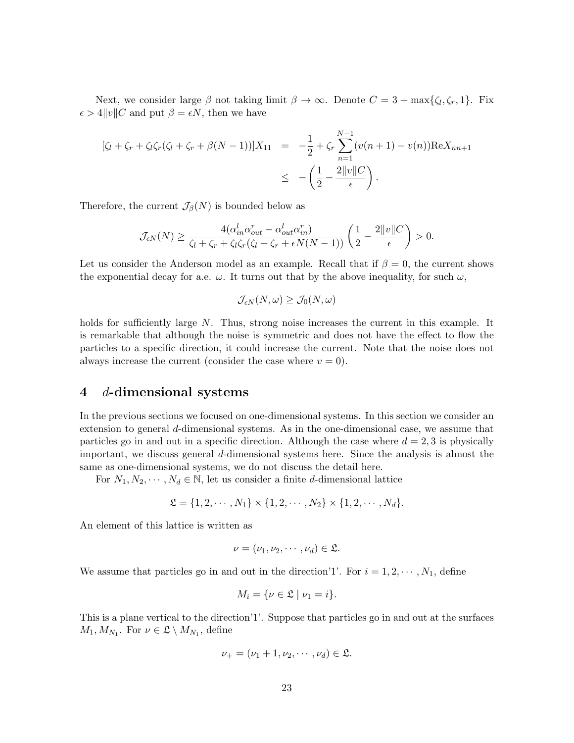Next, we consider large  $\beta$  not taking limit  $\beta \to \infty$ . Denote  $C = 3 + \max{\{\zeta_l, \zeta_r, 1\}}$ . Fix  $\epsilon > 4||v||C$  and put  $\beta = \epsilon N$ , then we have

$$
[\zeta_l + \zeta_r + \zeta_l \zeta_r (\zeta_l + \zeta_r + \beta(N-1))]X_{11} = -\frac{1}{2} + \zeta_r \sum_{n=1}^{N-1} (v(n+1) - v(n)) \text{Re} X_{nn+1}
$$
  

$$
\leq -\left(\frac{1}{2} - \frac{2||v||C}{\epsilon}\right).
$$

Therefore, the current  $\mathcal{J}_{\beta}(N)$  is bounded below as

$$
\mathcal{J}_{\epsilon N}(N) \ge \frac{4(\alpha_{in}^l\alpha_{out}^r - \alpha_{out}^l\alpha_{in}^r)}{\zeta_l + \zeta_r + \zeta_l\zeta_r(\zeta_l + \zeta_r + \epsilon N(N-1))} \left(\frac{1}{2} - \frac{2||v||C}{\epsilon}\right) > 0.
$$

Let us consider the Anderson model as an example. Recall that if  $\beta = 0$ , the current shows the exponential decay for a.e.  $\omega$ . It turns out that by the above inequality, for such  $\omega$ ,

$$
\mathcal{J}_{\epsilon N}(N,\omega) \ge \mathcal{J}_0(N,\omega)
$$

holds for sufficiently large N. Thus, strong noise increases the current in this example. It is remarkable that although the noise is symmetric and does not have the effect to flow the particles to a specific direction, it could increase the current. Note that the noise does not always increase the current (consider the case where  $v = 0$ ).

# 4 d-dimensional systems

In the previous sections we focused on one-dimensional systems. In this section we consider an extension to general d-dimensional systems. As in the one-dimensional case, we assume that particles go in and out in a specific direction. Although the case where  $d = 2, 3$  is physically important, we discuss general d-dimensional systems here. Since the analysis is almost the same as one-dimensional systems, we do not discuss the detail here.

For  $N_1, N_2, \dots, N_d \in \mathbb{N}$ , let us consider a finite d-dimensional lattice

$$
\mathfrak{L} = \{1, 2, \cdots, N_1\} \times \{1, 2, \cdots, N_2\} \times \{1, 2, \cdots, N_d\}.
$$

An element of this lattice is written as

$$
\nu = (\nu_1, \nu_2, \cdots, \nu_d) \in \mathfrak{L}.
$$

We assume that particles go in and out in the direction'1'. For  $i = 1, 2, \dots, N_1$ , define

$$
M_i = \{ \nu \in \mathfrak{L} \mid \nu_1 = i \}.
$$

This is a plane vertical to the direction'1'. Suppose that particles go in and out at the surfaces  $M_1, M_{N_1}$ . For  $\nu \in \mathfrak{L} \setminus M_{N_1}$ , define

$$
\nu_+ = (\nu_1 + 1, \nu_2, \cdots, \nu_d) \in \mathfrak{L}.
$$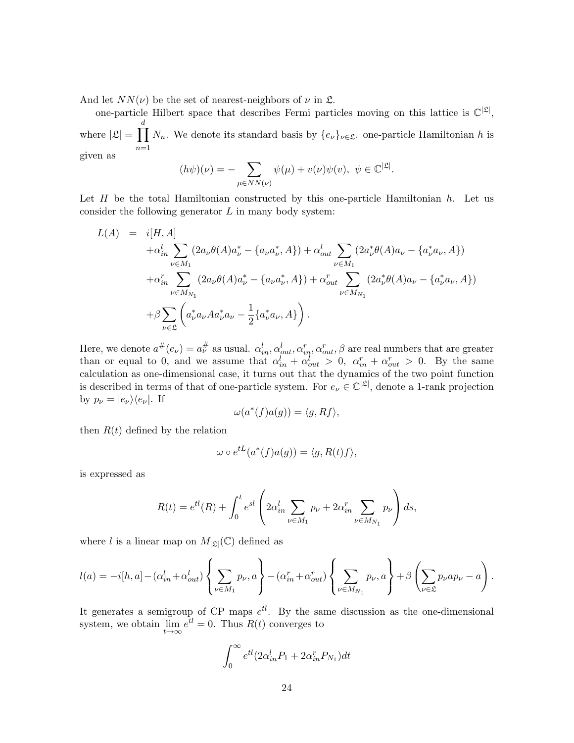And let  $NN(\nu)$  be the set of nearest-neighbors of  $\nu$  in  $\mathfrak{L}$ .

one-particle Hilbert space that describes Fermi particles moving on this lattice is  $\mathbb{C}^{|\mathfrak{L}|}$ , where  $|\mathfrak{L}| = \prod$ d  $n=1$  $N_n$ . We denote its standard basis by  $\{e_{\nu}\}_{\nu \in \mathfrak{L}}$ . one-particle Hamiltonian h is given as

$$
(h\psi)(\nu) = -\sum_{\mu \in NN(\nu)} \psi(\mu) + v(\nu)\psi(v), \ \psi \in \mathbb{C}^{|\mathfrak{L}|}.
$$

Let  $H$  be the total Hamiltonian constructed by this one-particle Hamiltonian  $h$ . Let us consider the following generator  $L$  in many body system:

$$
L(A) = i[H, A]
$$
  
\n
$$
+ \alpha_{in}^{l} \sum_{\nu \in M_{1}} (2a_{\nu}\theta(A)a_{\nu}^{*} - \{a_{\nu}a_{\nu}^{*}, A\}) + \alpha_{out}^{l} \sum_{\nu \in M_{1}} (2a_{\nu}^{*}\theta(A)a_{\nu} - \{a_{\nu}^{*}a_{\nu}, A\})
$$
  
\n
$$
+ \alpha_{in}^{r} \sum_{\nu \in M_{N_{1}}} (2a_{\nu}\theta(A)a_{\nu}^{*} - \{a_{\nu}a_{\nu}^{*}, A\}) + \alpha_{out}^{r} \sum_{\nu \in M_{N_{1}}} (2a_{\nu}^{*}\theta(A)a_{\nu} - \{a_{\nu}^{*}a_{\nu}, A\})
$$
  
\n
$$
+ \beta \sum_{\nu \in \mathfrak{L}} \left(a_{\nu}^{*}a_{\nu}Aa_{\nu}^{*}a_{\nu} - \frac{1}{2}\{a_{\nu}^{*}a_{\nu}, A\}\right).
$$

Here, we denote  $a^{\#}(e_{\nu}) = a^{\#}_{\nu}$  as usual.  $\alpha_{in}^{l}, \alpha_{out}^{l}, \alpha_{in}^{r}, \alpha_{out}^{r}, \beta$  are real numbers that are greater than or equal to 0, and we assume that  $\alpha_{in}^l + \alpha_{out}^l > 0$ ,  $\alpha_{in}^r + \alpha_{out}^r > 0$ . By the same calculation as one-dimensional case, it turns out that the dynamics of the two point function is described in terms of that of one-particle system. For  $e_{\nu} \in \mathbb{C}^{|\mathfrak{L}|}$ , denote a 1-rank projection by  $p_{\nu} = |e_{\nu}\rangle\langle e_{\nu}|$ . If

$$
\omega(a^*(f)a(g)) = \langle g, Rf \rangle,
$$

then  $R(t)$  defined by the relation

$$
\omega \circ e^{tL}(a^*(f)a(g)) = \langle g, R(t)f \rangle,
$$

is expressed as

$$
R(t) = e^{tl}(R) + \int_0^t e^{sl} \left( 2\alpha_{in}^l \sum_{\nu \in M_1} p_{\nu} + 2\alpha_{in}^r \sum_{\nu \in M_{N_1}} p_{\nu} \right) ds,
$$

where l is a linear map on  $M_{|\mathfrak{L}|}(\mathbb{C})$  defined as

$$
l(a) = -i[h, a] - (\alpha_{in}^l + \alpha_{out}^l) \left\{ \sum_{\nu \in M_1} p_{\nu}, a \right\} - (\alpha_{in}^r + \alpha_{out}^r) \left\{ \sum_{\nu \in M_{N_1}} p_{\nu}, a \right\} + \beta \left( \sum_{\nu \in \mathfrak{L}} p_{\nu} a p_{\nu} - a \right).
$$

It generates a semigroup of CP maps  $e^{tl}$ . By the same discussion as the one-dimensional system, we obtain  $\lim_{t\to\infty}e^{tl}=0$ . Thus  $R(t)$  converges to

$$
\int_0^\infty e^{tl} (2\alpha_{in}^l P_1 + 2\alpha_{in}^r P_{N_1}) dt
$$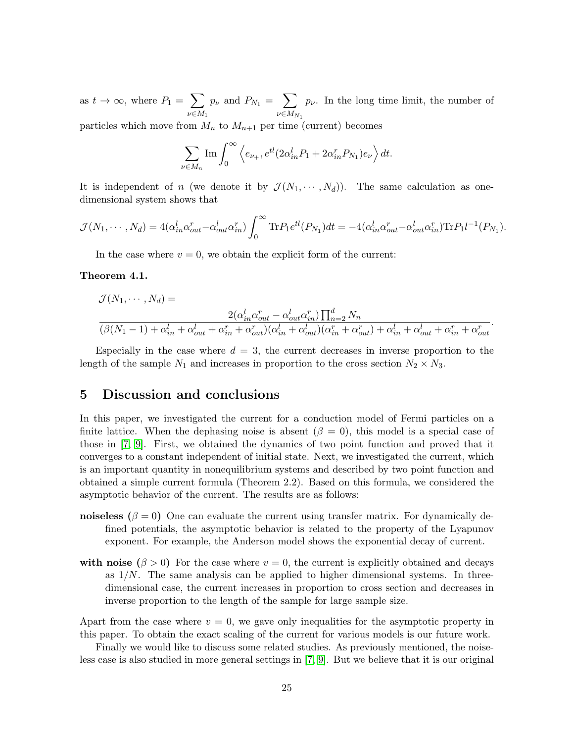as  $t \to \infty$ , where  $P_1 = \sum$  $\nu \in M_1$  $p_{\nu}$  and  $P_{N_1} = \sum$  $\iota\nu \in M_{N_1}$  $p_{\nu}$ . In the long time limit, the number of

particles which move from  $M_n$  to  $M_{n+1}$  per time (current) becomes

$$
\sum_{\nu \in M_n} \text{Im} \int_0^\infty \left\langle e_{\nu_+}, e^{tl} (2\alpha_{in}^l P_1 + 2\alpha_{in}^r P_{N_1}) e_{\nu} \right\rangle dt.
$$

It is independent of n (we denote it by  $\mathcal{J}(N_1, \dots, N_d)$ ). The same calculation as onedimensional system shows that

$$
\mathcal{J}(N_1,\cdots,N_d)=4(\alpha_{in}^l\alpha_{out}^r-\alpha_{out}^l\alpha_{in}^r)\int_0^\infty \text{Tr}P_1e^{tl}(P_{N_1})dt=-4(\alpha_{in}^l\alpha_{out}^r-\alpha_{out}^l\alpha_{in}^r)\text{Tr}P_1l^{-1}(P_{N_1}).
$$

In the case where  $v = 0$ , we obtain the explicit form of the current:

#### Theorem 4.1.

$$
\mathcal{J}(N_1, \dots, N_d) =
$$
\n
$$
\frac{2(\alpha_{in}^l \alpha_{out}^r - \alpha_{out}^l \alpha_{in}^r) \prod_{n=2}^d N_n}{(\beta(N_1 - 1) + \alpha_{in}^l + \alpha_{out}^l + \alpha_{in}^r + \alpha_{out}^r)(\alpha_{in}^l + \alpha_{out}^l)(\alpha_{in}^r + \alpha_{out}^r) + \alpha_{in}^l + \alpha_{out}^l + \alpha_{in}^r + \alpha_{out}^r)}
$$

.

Especially in the case where  $d = 3$ , the current decreases in inverse proportion to the length of the sample  $N_1$  and increases in proportion to the cross section  $N_2 \times N_3$ .

# 5 Discussion and conclusions

In this paper, we investigated the current for a conduction model of Fermi particles on a finite lattice. When the dephasing noise is absent  $(\beta = 0)$ , this model is a special case of those in [\[7,](#page-26-0) [9\]](#page-26-2). First, we obtained the dynamics of two point function and proved that it converges to a constant independent of initial state. Next, we investigated the current, which is an important quantity in nonequilibrium systems and described by two point function and obtained a simple current formula (Theorem 2.2). Based on this formula, we considered the asymptotic behavior of the current. The results are as follows:

- noiseless  $(\beta = 0)$  One can evaluate the current using transfer matrix. For dynamically defined potentials, the asymptotic behavior is related to the property of the Lyapunov exponent. For example, the Anderson model shows the exponential decay of current.
- with noise  $(\beta > 0)$  For the case where  $v = 0$ , the current is explicitly obtained and decays as  $1/N$ . The same analysis can be applied to higher dimensional systems. In threedimensional case, the current increases in proportion to cross section and decreases in inverse proportion to the length of the sample for large sample size.

Apart from the case where  $v = 0$ , we gave only inequalities for the asymptotic property in this paper. To obtain the exact scaling of the current for various models is our future work.

Finally we would like to discuss some related studies. As previously mentioned, the noiseless case is also studied in more general settings in [\[7,](#page-26-0) [9\]](#page-26-2). But we believe that it is our original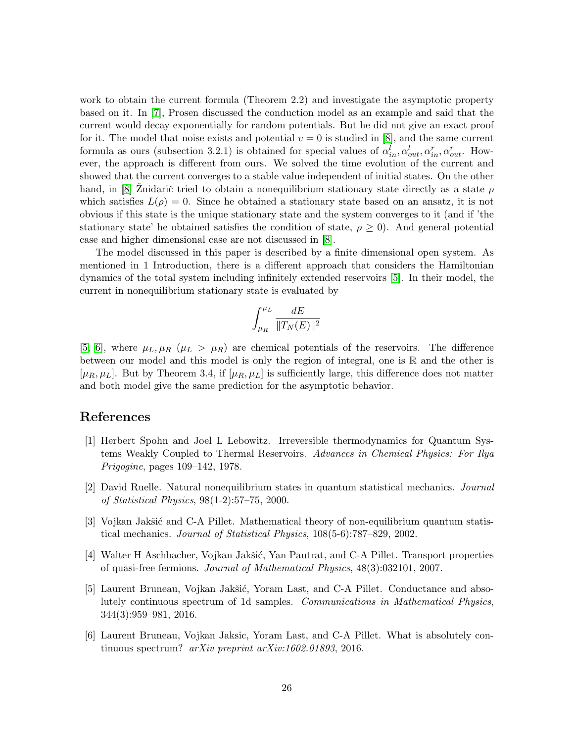work to obtain the current formula (Theorem 2.2) and investigate the asymptotic property based on it. In [\[7\]](#page-26-0), Prosen discussed the conduction model as an example and said that the current would decay exponentially for random potentials. But he did not give an exact proof for it. The model that noise exists and potential  $v = 0$  is studied in [\[8\]](#page-26-1), and the same current formula as ours (subsection 3.2.1) is obtained for special values of  $\alpha_{in}^l, \alpha_{out}^l, \alpha_{in}^r, \alpha_{out}^r$ . However, the approach is different from ours. We solved the time evolution of the current and showed that the current converges to a stable value independent of initial states. On the other hand, in [\[8\]](#page-26-1) Znidarič tried to obtain a nonequilibrium stationary state directly as a state  $\rho$ which satisfies  $L(\rho) = 0$ . Since he obtained a stationary state based on an ansatz, it is not obvious if this state is the unique stationary state and the system converges to it (and if 'the stationary state' he obtained satisfies the condition of state,  $\rho \geq 0$ ). And general potential case and higher dimensional case are not discussed in [\[8\]](#page-26-1).

The model discussed in this paper is described by a finite dimensional open system. As mentioned in 1 Introduction, there is a different approach that considers the Hamiltonian dynamics of the total system including infinitely extended reservoirs [\[5\]](#page-25-4). In their model, the current in nonequilibrium stationary state is evaluated by

$$
\int_{\mu_R}^{\mu_L} \frac{dE}{\|T_N(E)\|^2}
$$

[\[5,](#page-25-4) [6\]](#page-25-5), where  $\mu_L, \mu_R$  ( $\mu_L > \mu_R$ ) are chemical potentials of the reservoirs. The difference between our model and this model is only the region of integral, one is  $\mathbb R$  and the other is  $[\mu_R, \mu_L]$ . But by Theorem 3.4, if  $[\mu_R, \mu_L]$  is sufficiently large, this difference does not matter and both model give the same prediction for the asymptotic behavior.

# References

- <span id="page-25-0"></span>[1] Herbert Spohn and Joel L Lebowitz. Irreversible thermodynamics for Quantum Systems Weakly Coupled to Thermal Reservoirs. Advances in Chemical Physics: For Ilya Prigogine, pages 109–142, 1978.
- <span id="page-25-1"></span>[2] David Ruelle. Natural nonequilibrium states in quantum statistical mechanics. Journal of Statistical Physics, 98(1-2):57–75, 2000.
- <span id="page-25-2"></span>[3] Vojkan Jakšić and C-A Pillet. Mathematical theory of non-equilibrium quantum statistical mechanics. Journal of Statistical Physics, 108(5-6):787–829, 2002.
- <span id="page-25-3"></span>[4] Walter H Aschbacher, Vojkan Jakšić, Yan Pautrat, and C-A Pillet. Transport properties of quasi-free fermions. Journal of Mathematical Physics, 48(3):032101, 2007.
- <span id="page-25-4"></span>[5] Laurent Bruneau, Vojkan Jakšić, Yoram Last, and C-A Pillet. Conductance and absolutely continuous spectrum of 1d samples. Communications in Mathematical Physics, 344(3):959–981, 2016.
- <span id="page-25-5"></span>[6] Laurent Bruneau, Vojkan Jaksic, Yoram Last, and C-A Pillet. What is absolutely continuous spectrum? arXiv preprint arXiv:1602.01893, 2016.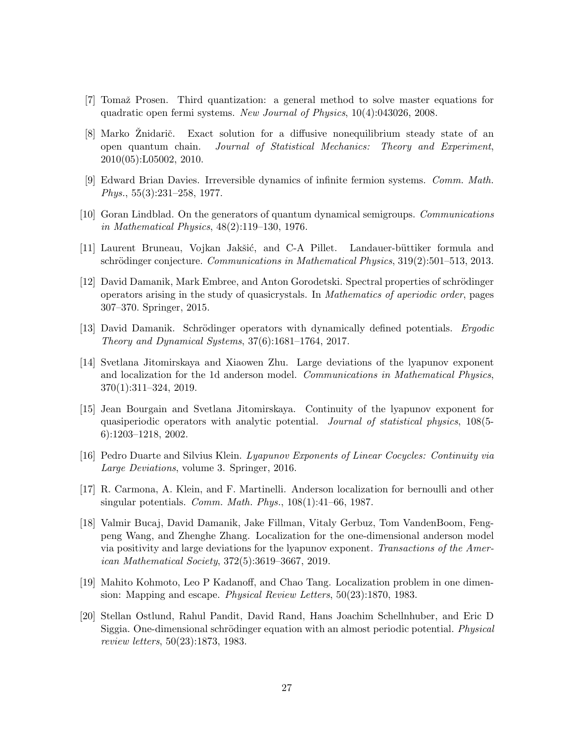- <span id="page-26-0"></span>[7] Tomaž Prosen. Third quantization: a general method to solve master equations for quadratic open fermi systems. New Journal of Physics, 10(4):043026, 2008.
- <span id="page-26-1"></span>[8] Marko Znidarič. Exact solution for a diffusive nonequilibrium steady state of an open quantum chain. Journal of Statistical Mechanics: Theory and Experiment, 2010(05):L05002, 2010.
- <span id="page-26-2"></span>[9] Edward Brian Davies. Irreversible dynamics of infinite fermion systems. Comm. Math. Phys., 55(3):231–258, 1977.
- <span id="page-26-3"></span>[10] Goran Lindblad. On the generators of quantum dynamical semigroups. Communications in Mathematical Physics, 48(2):119–130, 1976.
- <span id="page-26-4"></span>[11] Laurent Bruneau, Vojkan Jakšić, and C-A Pillet. Landauer-büttiker formula and schrödinger conjecture. Communications in Mathematical Physics,  $319(2):501-513$ ,  $2013$ .
- <span id="page-26-5"></span>[12] David Damanik, Mark Embree, and Anton Gorodetski. Spectral properties of schrödinger operators arising in the study of quasicrystals. In Mathematics of aperiodic order, pages 307–370. Springer, 2015.
- <span id="page-26-6"></span>[13] David Damanik. Schrödinger operators with dynamically defined potentials. *Ergodic* Theory and Dynamical Systems, 37(6):1681–1764, 2017.
- <span id="page-26-7"></span>[14] Svetlana Jitomirskaya and Xiaowen Zhu. Large deviations of the lyapunov exponent and localization for the 1d anderson model. Communications in Mathematical Physics, 370(1):311–324, 2019.
- <span id="page-26-8"></span>[15] Jean Bourgain and Svetlana Jitomirskaya. Continuity of the lyapunov exponent for quasiperiodic operators with analytic potential. *Journal of statistical physics*, 108(5-6):1203–1218, 2002.
- <span id="page-26-9"></span>[16] Pedro Duarte and Silvius Klein. Lyapunov Exponents of Linear Cocycles: Continuity via Large Deviations, volume 3. Springer, 2016.
- <span id="page-26-10"></span>[17] R. Carmona, A. Klein, and F. Martinelli. Anderson localization for bernoulli and other singular potentials. *Comm. Math. Phys.*,  $108(1):41-66$ , 1987.
- <span id="page-26-11"></span>[18] Valmir Bucaj, David Damanik, Jake Fillman, Vitaly Gerbuz, Tom VandenBoom, Fengpeng Wang, and Zhenghe Zhang. Localization for the one-dimensional anderson model via positivity and large deviations for the lyapunov exponent. Transactions of the American Mathematical Society, 372(5):3619–3667, 2019.
- <span id="page-26-12"></span>[19] Mahito Kohmoto, Leo P Kadanoff, and Chao Tang. Localization problem in one dimension: Mapping and escape. Physical Review Letters, 50(23):1870, 1983.
- <span id="page-26-13"></span>[20] Stellan Ostlund, Rahul Pandit, David Rand, Hans Joachim Schellnhuber, and Eric D Siggia. One-dimensional schrödinger equation with an almost periodic potential. *Physical* review letters, 50(23):1873, 1983.